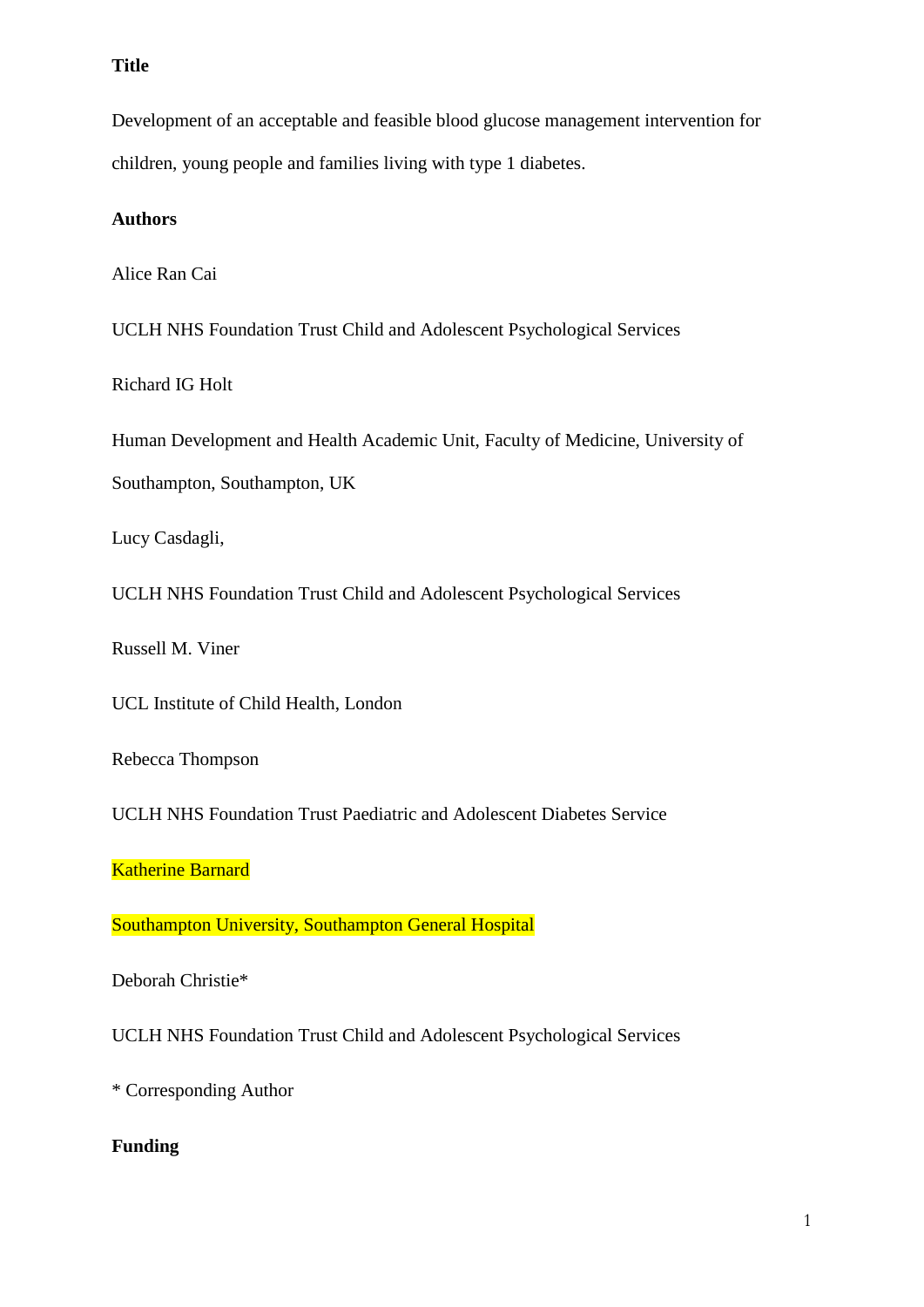## **Title**

Development of an acceptable and feasible blood glucose management intervention for children, young people and families living with type 1 diabetes.

### **Authors**

Alice Ran Cai

UCLH NHS Foundation Trust Child and Adolescent Psychological Services

Richard IG Holt

Human Development and Health Academic Unit, Faculty of Medicine, University of Southampton, Southampton, UK

Lucy Casdagli,

UCLH NHS Foundation Trust Child and Adolescent Psychological Services

Russell M. Viner

UCL Institute of Child Health, London

Rebecca Thompson

UCLH NHS Foundation Trust Paediatric and Adolescent Diabetes Service

**Katherine Barnard** 

Southampton University, Southampton General Hospital

Deborah Christie\*

UCLH NHS Foundation Trust Child and Adolescent Psychological Services

\* Corresponding Author

## **Funding**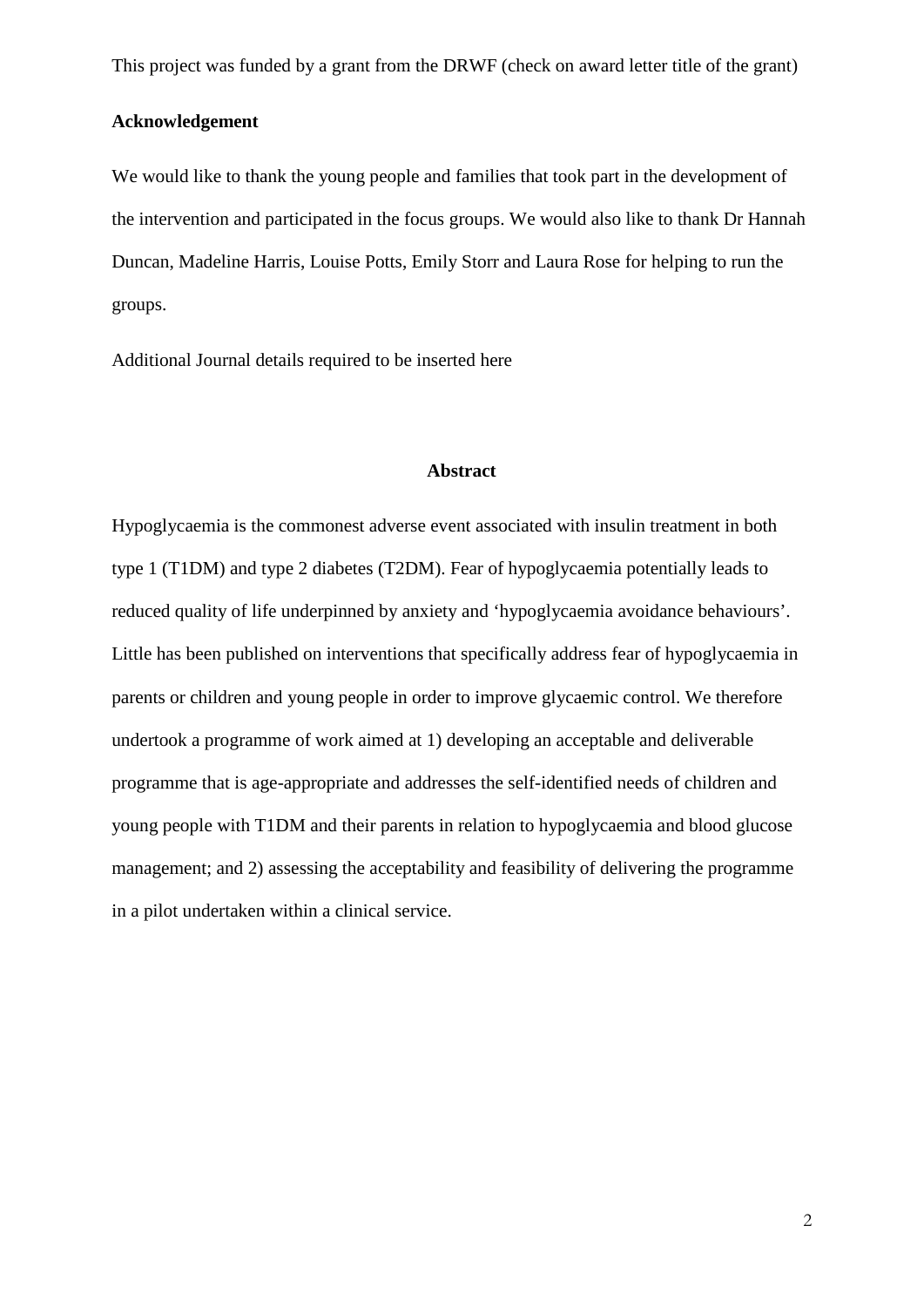This project was funded by a grant from the DRWF (check on award letter title of the grant)

### **Acknowledgement**

We would like to thank the young people and families that took part in the development of the intervention and participated in the focus groups. We would also like to thank Dr Hannah Duncan, Madeline Harris, Louise Potts, Emily Storr and Laura Rose for helping to run the groups.

Additional Journal details required to be inserted here

#### **Abstract**

Hypoglycaemia is the commonest adverse event associated with insulin treatment in both type 1 (T1DM) and type 2 diabetes (T2DM). Fear of hypoglycaemia potentially leads to reduced quality of life underpinned by anxiety and 'hypoglycaemia avoidance behaviours'. Little has been published on interventions that specifically address fear of hypoglycaemia in parents or children and young people in order to improve glycaemic control. We therefore undertook a programme of work aimed at 1) developing an acceptable and deliverable programme that is age-appropriate and addresses the self-identified needs of children and young people with T1DM and their parents in relation to hypoglycaemia and blood glucose management; and 2) assessing the acceptability and feasibility of delivering the programme in a pilot undertaken within a clinical service.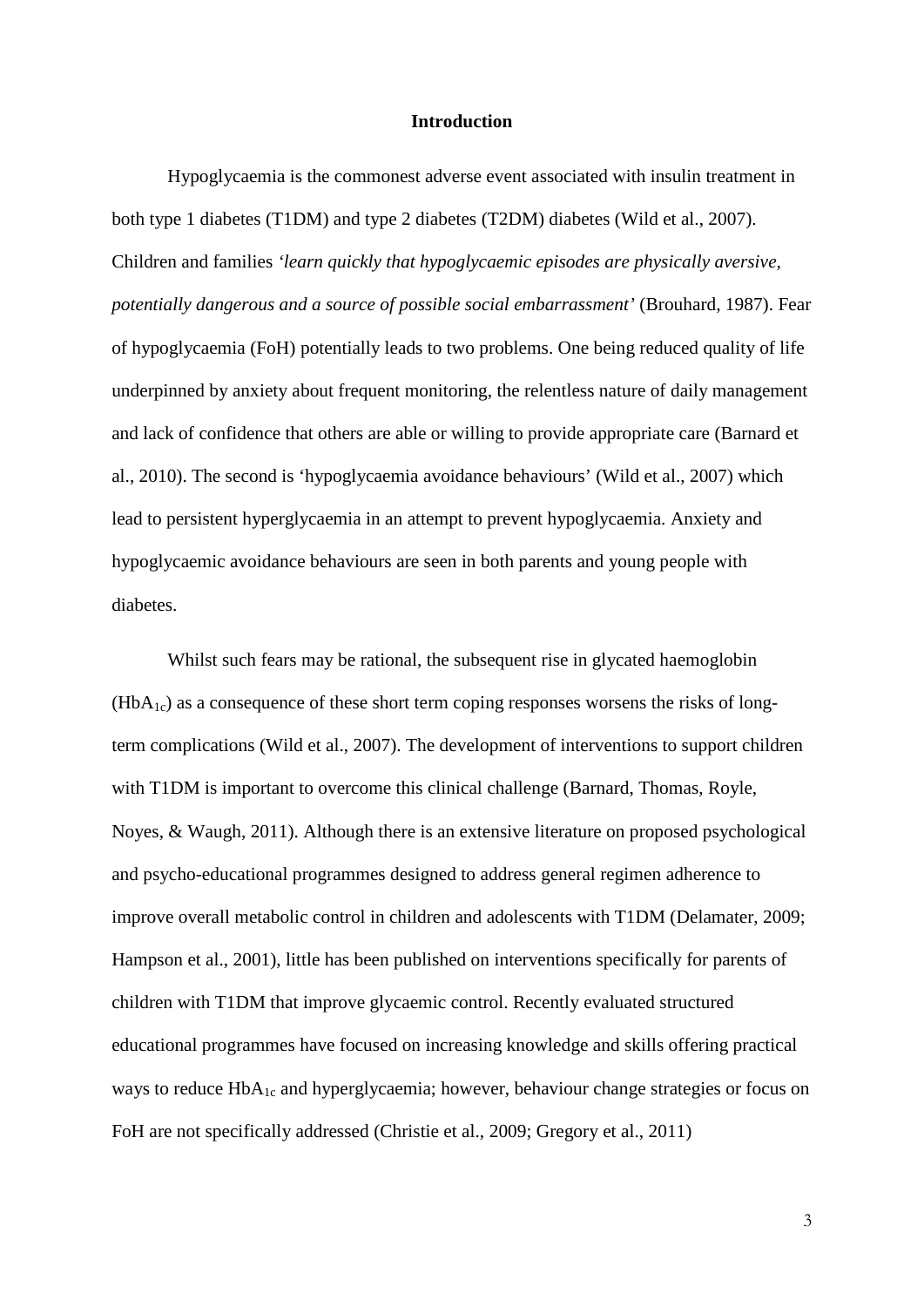### **Introduction**

Hypoglycaemia is the commonest adverse event associated with insulin treatment in both type 1 diabetes (T1DM) and type 2 diabetes (T2DM) diabetes (Wild et al., 2007). Children and families *'learn quickly that hypoglycaemic episodes are physically aversive, potentially dangerous and a source of possible social embarrassment'* (Brouhard, 1987). Fear of hypoglycaemia (FoH) potentially leads to two problems. One being reduced quality of life underpinned by anxiety about frequent monitoring, the relentless nature of daily management and lack of confidence that others are able or willing to provide appropriate care (Barnard et al., 2010). The second is 'hypoglycaemia avoidance behaviours' (Wild et al., 2007) which lead to persistent hyperglycaemia in an attempt to prevent hypoglycaemia. Anxiety and hypoglycaemic avoidance behaviours are seen in both parents and young people with diabetes.

Whilst such fears may be rational, the subsequent rise in glycated haemoglobin  $(HbA_{1c})$  as a consequence of these short term coping responses worsens the risks of longterm complications (Wild et al., 2007). The development of interventions to support children with T1DM is important to overcome this clinical challenge (Barnard, Thomas, Royle, Noyes, & Waugh, 2011). Although there is an extensive literature on proposed psychological and psycho-educational programmes designed to address general regimen adherence to improve overall metabolic control in children and adolescents with T1DM (Delamater, 2009; Hampson et al., 2001), little has been published on interventions specifically for parents of children with T1DM that improve glycaemic control. Recently evaluated structured educational programmes have focused on increasing knowledge and skills offering practical ways to reduce  $HbA_{1c}$  and hyperglycaemia; however, behaviour change strategies or focus on FoH are not specifically addressed (Christie et al., 2009; Gregory et al., 2011)

3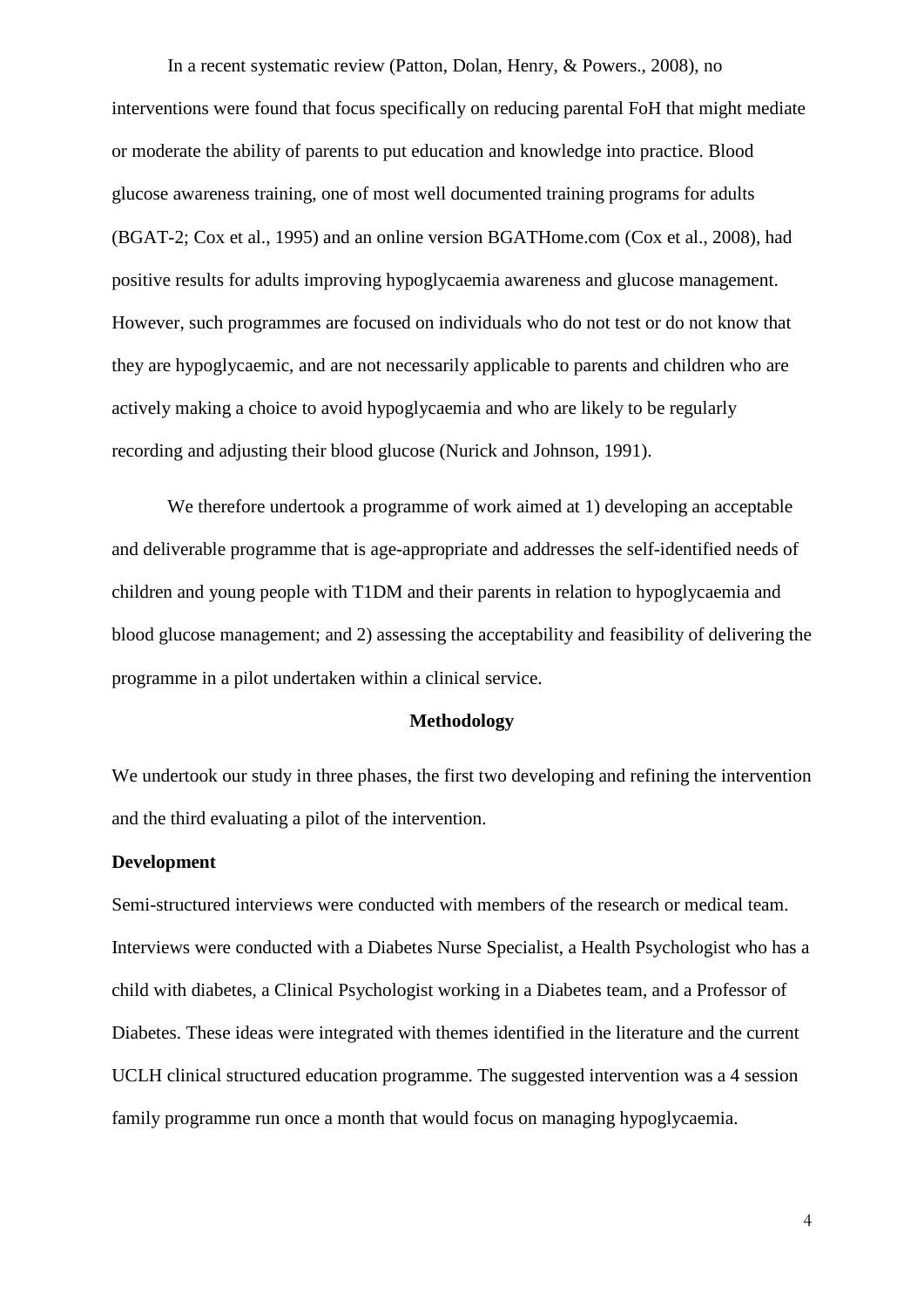In a recent systematic review (Patton, Dolan, Henry, & Powers., 2008), no interventions were found that focus specifically on reducing parental FoH that might mediate or moderate the ability of parents to put education and knowledge into practice. Blood glucose awareness training, one of most well documented training programs for adults (BGAT-2; Cox et al., 1995) and an online version BGATHome.com (Cox et al., 2008), had positive results for adults improving hypoglycaemia awareness and glucose management. However, such programmes are focused on individuals who do not test or do not know that they are hypoglycaemic, and are not necessarily applicable to parents and children who are actively making a choice to avoid hypoglycaemia and who are likely to be regularly recording and adjusting their blood glucose (Nurick and Johnson, 1991).

We therefore undertook a programme of work aimed at 1) developing an acceptable and deliverable programme that is age-appropriate and addresses the self-identified needs of children and young people with T1DM and their parents in relation to hypoglycaemia and blood glucose management; and 2) assessing the acceptability and feasibility of delivering the programme in a pilot undertaken within a clinical service.

### **Methodology**

We undertook our study in three phases, the first two developing and refining the intervention and the third evaluating a pilot of the intervention.

#### **Development**

Semi-structured interviews were conducted with members of the research or medical team. Interviews were conducted with a Diabetes Nurse Specialist, a Health Psychologist who has a child with diabetes, a Clinical Psychologist working in a Diabetes team, and a Professor of Diabetes. These ideas were integrated with themes identified in the literature and the current UCLH clinical structured education programme. The suggested intervention was a 4 session family programme run once a month that would focus on managing hypoglycaemia.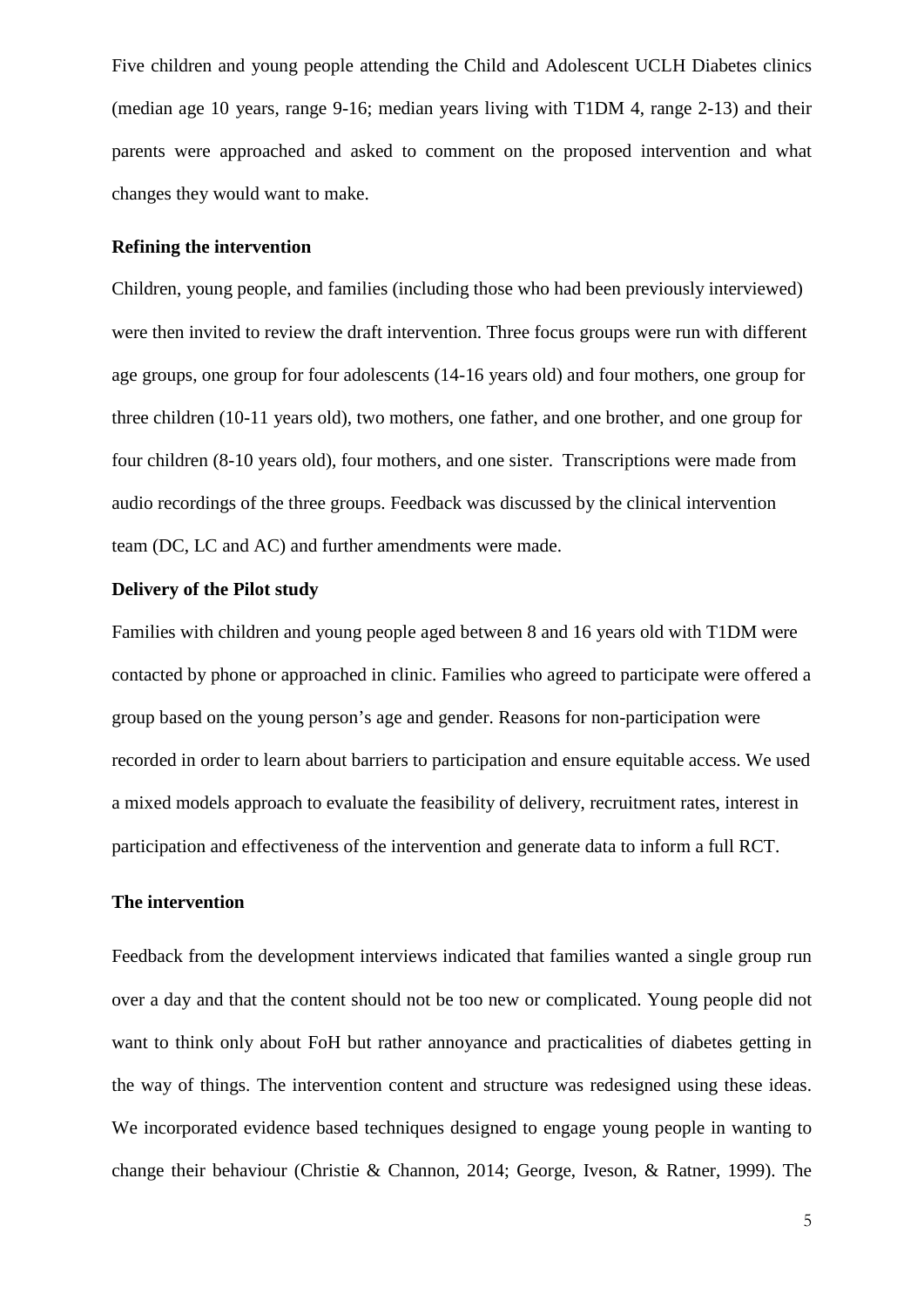Five children and young people attending the Child and Adolescent UCLH Diabetes clinics (median age 10 years, range 9-16; median years living with T1DM 4, range 2-13) and their parents were approached and asked to comment on the proposed intervention and what changes they would want to make.

### **Refining the intervention**

Children, young people, and families (including those who had been previously interviewed) were then invited to review the draft intervention. Three focus groups were run with different age groups, one group for four adolescents (14-16 years old) and four mothers, one group for three children (10-11 years old), two mothers, one father, and one brother, and one group for four children (8-10 years old), four mothers, and one sister. Transcriptions were made from audio recordings of the three groups. Feedback was discussed by the clinical intervention team (DC, LC and AC) and further amendments were made.

### **Delivery of the Pilot study**

Families with children and young people aged between 8 and 16 years old with T1DM were contacted by phone or approached in clinic. Families who agreed to participate were offered a group based on the young person's age and gender. Reasons for non-participation were recorded in order to learn about barriers to participation and ensure equitable access. We used a mixed models approach to evaluate the feasibility of delivery, recruitment rates, interest in participation and effectiveness of the intervention and generate data to inform a full RCT.

## **The intervention**

Feedback from the development interviews indicated that families wanted a single group run over a day and that the content should not be too new or complicated. Young people did not want to think only about FoH but rather annoyance and practicalities of diabetes getting in the way of things. The intervention content and structure was redesigned using these ideas. We incorporated evidence based techniques designed to engage young people in wanting to change their behaviour (Christie & Channon, 2014; George, Iveson, & Ratner, 1999). The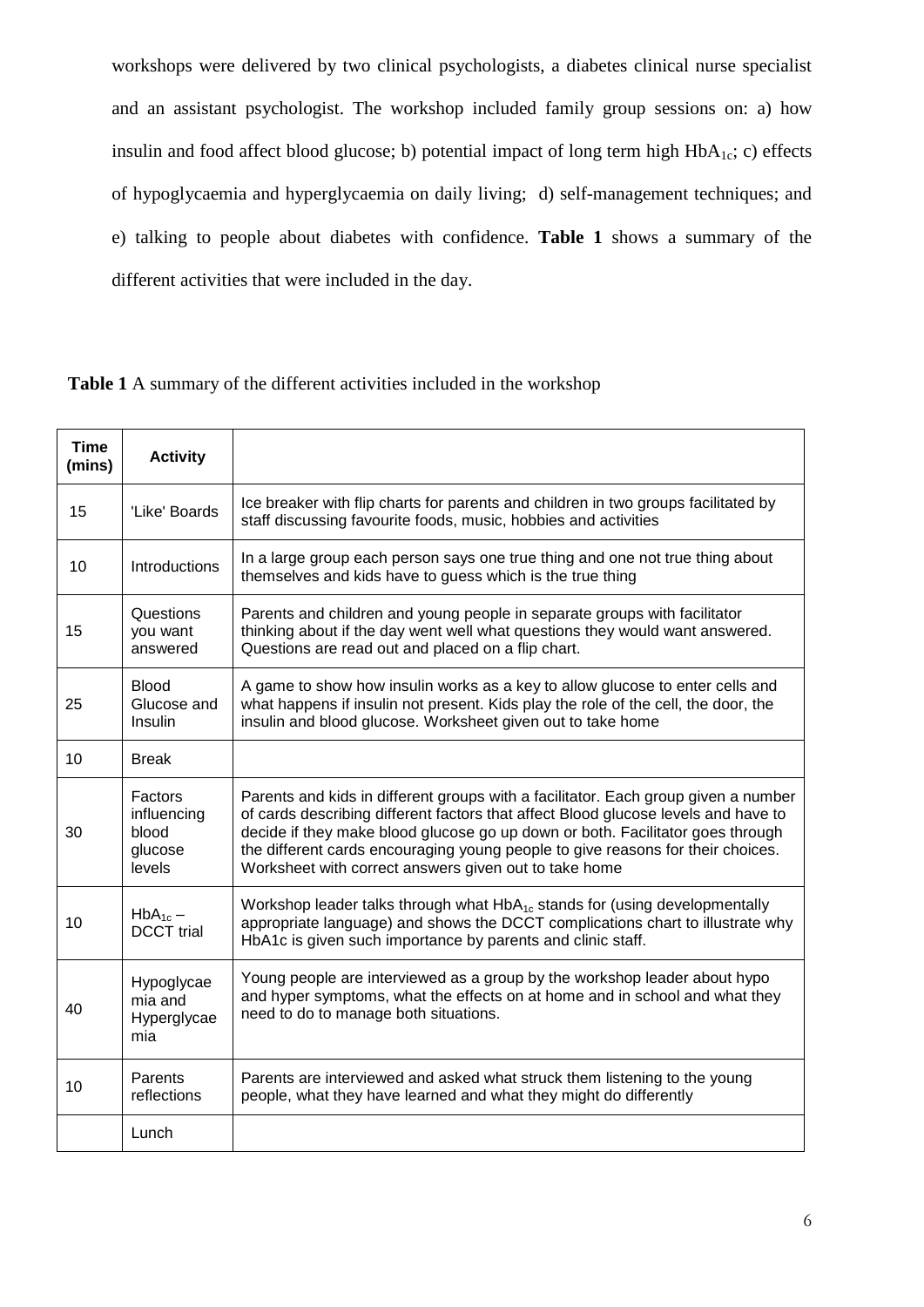workshops were delivered by two clinical psychologists, a diabetes clinical nurse specialist and an assistant psychologist. The workshop included family group sessions on: a) how insulin and food affect blood glucose; b) potential impact of long term high  $HbA_{1c}$ ; c) effects of hypoglycaemia and hyperglycaemia on daily living; d) self-management techniques; and e) talking to people about diabetes with confidence. **Table 1** shows a summary of the different activities that were included in the day.

**Table 1** A summary of the different activities included in the workshop

| <b>Time</b><br>(mins) | <b>Activity</b>                                      |                                                                                                                                                                                                                                                                                                                                                                                                        |
|-----------------------|------------------------------------------------------|--------------------------------------------------------------------------------------------------------------------------------------------------------------------------------------------------------------------------------------------------------------------------------------------------------------------------------------------------------------------------------------------------------|
| 15                    | 'Like' Boards                                        | Ice breaker with flip charts for parents and children in two groups facilitated by<br>staff discussing favourite foods, music, hobbies and activities                                                                                                                                                                                                                                                  |
| 10                    | Introductions                                        | In a large group each person says one true thing and one not true thing about<br>themselves and kids have to guess which is the true thing                                                                                                                                                                                                                                                             |
| 15                    | Questions<br>you want<br>answered                    | Parents and children and young people in separate groups with facilitator<br>thinking about if the day went well what questions they would want answered.<br>Questions are read out and placed on a flip chart.                                                                                                                                                                                        |
| 25                    | <b>Blood</b><br>Glucose and<br>Insulin               | A game to show how insulin works as a key to allow glucose to enter cells and<br>what happens if insulin not present. Kids play the role of the cell, the door, the<br>insulin and blood glucose. Worksheet given out to take home                                                                                                                                                                     |
| 10                    | <b>Break</b>                                         |                                                                                                                                                                                                                                                                                                                                                                                                        |
| 30                    | Factors<br>influencing<br>blood<br>glucose<br>levels | Parents and kids in different groups with a facilitator. Each group given a number<br>of cards describing different factors that affect Blood glucose levels and have to<br>decide if they make blood glucose go up down or both. Facilitator goes through<br>the different cards encouraging young people to give reasons for their choices.<br>Worksheet with correct answers given out to take home |
| 10                    | $HbA_{1c}$ –<br><b>DCCT</b> trial                    | Workshop leader talks through what $HbA_{1c}$ stands for (using developmentally<br>appropriate language) and shows the DCCT complications chart to illustrate why<br>HbA1c is given such importance by parents and clinic staff.                                                                                                                                                                       |
| 40                    | Hypoglycae<br>mia and<br>Hyperglycae<br>mia          | Young people are interviewed as a group by the workshop leader about hypo<br>and hyper symptoms, what the effects on at home and in school and what they<br>need to do to manage both situations.                                                                                                                                                                                                      |
| 10                    | Parents<br>reflections                               | Parents are interviewed and asked what struck them listening to the young<br>people, what they have learned and what they might do differently                                                                                                                                                                                                                                                         |
|                       | Lunch                                                |                                                                                                                                                                                                                                                                                                                                                                                                        |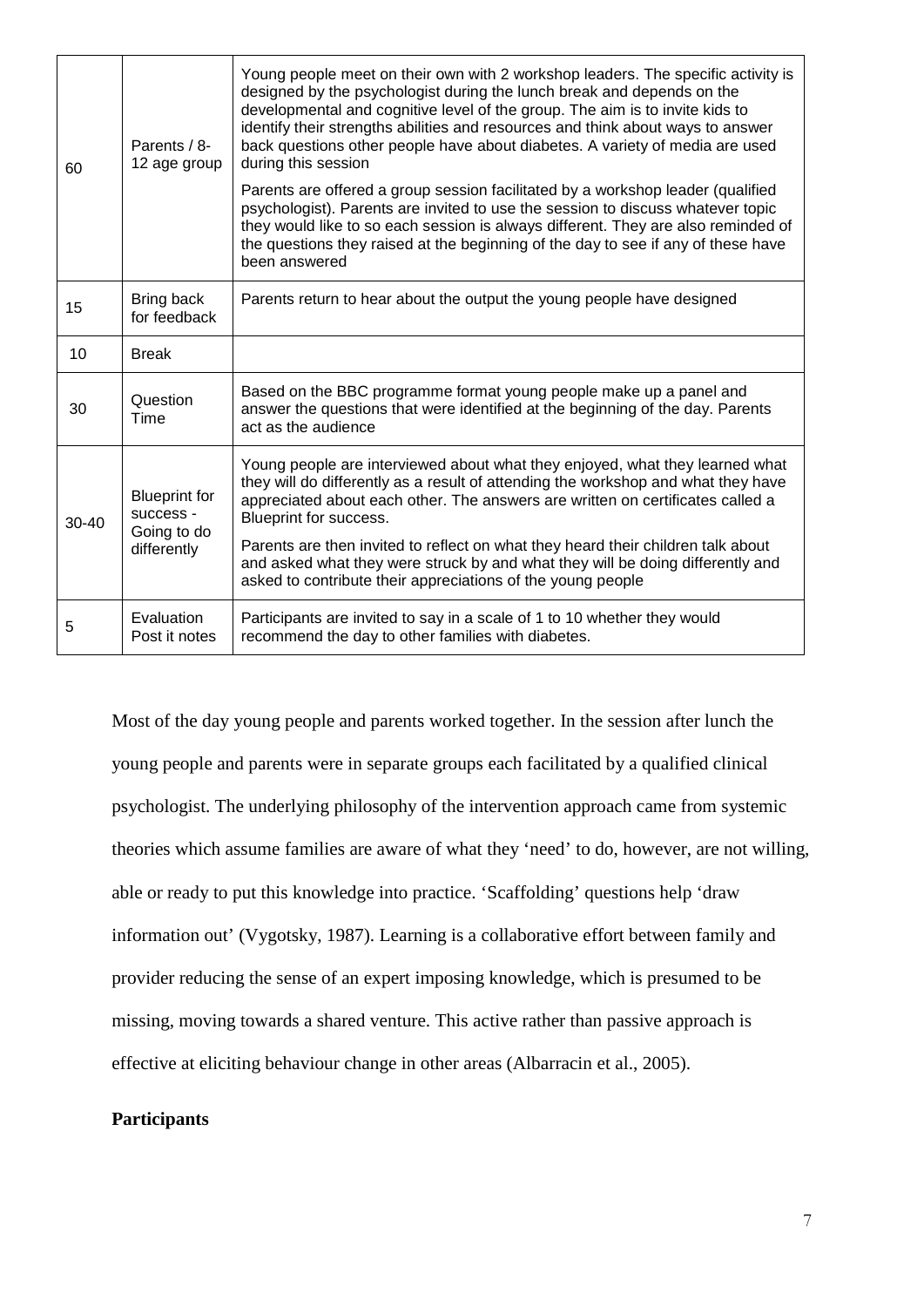| 60        | Parents / 8-<br>12 age group                                    | Young people meet on their own with 2 workshop leaders. The specific activity is<br>designed by the psychologist during the lunch break and depends on the<br>developmental and cognitive level of the group. The aim is to invite kids to<br>identify their strengths abilities and resources and think about ways to answer<br>back questions other people have about diabetes. A variety of media are used<br>during this session |
|-----------|-----------------------------------------------------------------|--------------------------------------------------------------------------------------------------------------------------------------------------------------------------------------------------------------------------------------------------------------------------------------------------------------------------------------------------------------------------------------------------------------------------------------|
|           |                                                                 | Parents are offered a group session facilitated by a workshop leader (qualified<br>psychologist). Parents are invited to use the session to discuss whatever topic<br>they would like to so each session is always different. They are also reminded of<br>the questions they raised at the beginning of the day to see if any of these have<br>been answered                                                                        |
| 15        | Bring back<br>for feedback                                      | Parents return to hear about the output the young people have designed                                                                                                                                                                                                                                                                                                                                                               |
| 10        | <b>Break</b>                                                    |                                                                                                                                                                                                                                                                                                                                                                                                                                      |
| 30        | Question<br>Time                                                | Based on the BBC programme format young people make up a panel and<br>answer the questions that were identified at the beginning of the day. Parents<br>act as the audience                                                                                                                                                                                                                                                          |
| $30 - 40$ | <b>Blueprint for</b><br>success -<br>Going to do<br>differently | Young people are interviewed about what they enjoyed, what they learned what<br>they will do differently as a result of attending the workshop and what they have<br>appreciated about each other. The answers are written on certificates called a<br>Blueprint for success.                                                                                                                                                        |
|           |                                                                 | Parents are then invited to reflect on what they heard their children talk about<br>and asked what they were struck by and what they will be doing differently and<br>asked to contribute their appreciations of the young people                                                                                                                                                                                                    |
| 5         | Evaluation<br>Post it notes                                     | Participants are invited to say in a scale of 1 to 10 whether they would<br>recommend the day to other families with diabetes.                                                                                                                                                                                                                                                                                                       |

Most of the day young people and parents worked together. In the session after lunch the young people and parents were in separate groups each facilitated by a qualified clinical psychologist. The underlying philosophy of the intervention approach came from systemic theories which assume families are aware of what they 'need' to do, however, are not willing, able or ready to put this knowledge into practice. 'Scaffolding' questions help 'draw information out' (Vygotsky, 1987). Learning is a collaborative effort between family and provider reducing the sense of an expert imposing knowledge, which is presumed to be missing, moving towards a shared venture. This active rather than passive approach is effective at eliciting behaviour change in other areas (Albarracin et al., 2005).

### **Participants**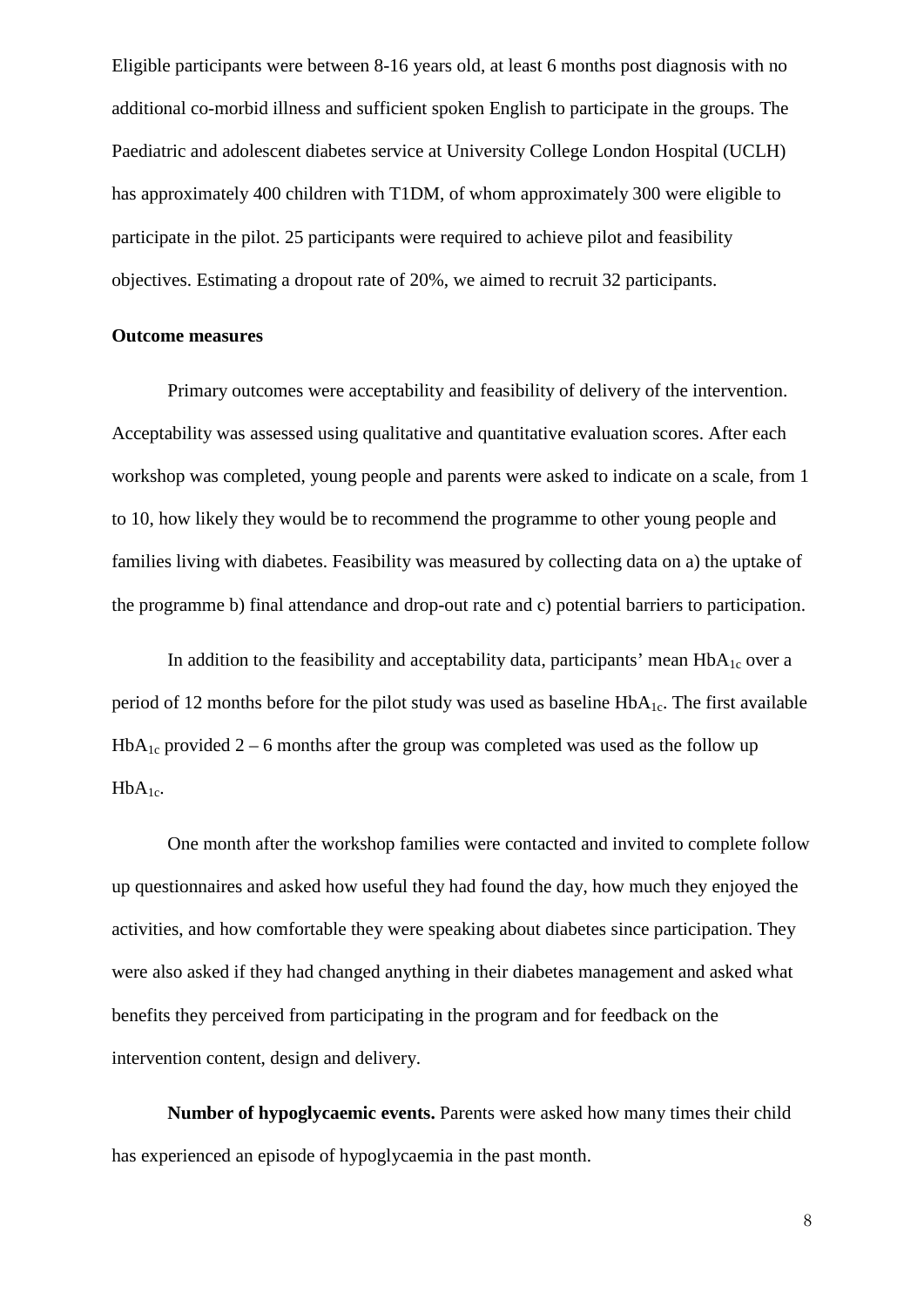Eligible participants were between 8-16 years old, at least 6 months post diagnosis with no additional co-morbid illness and sufficient spoken English to participate in the groups. The Paediatric and adolescent diabetes service at University College London Hospital (UCLH) has approximately 400 children with T1DM, of whom approximately 300 were eligible to participate in the pilot. 25 participants were required to achieve pilot and feasibility objectives. Estimating a dropout rate of 20%, we aimed to recruit 32 participants.

#### **Outcome measures**

Primary outcomes were acceptability and feasibility of delivery of the intervention. Acceptability was assessed using qualitative and quantitative evaluation scores. After each workshop was completed, young people and parents were asked to indicate on a scale, from 1 to 10, how likely they would be to recommend the programme to other young people and families living with diabetes. Feasibility was measured by collecting data on a) the uptake of the programme b) final attendance and drop-out rate and c) potential barriers to participation.

In addition to the feasibility and acceptability data, participants' mean  $HbA_{1c}$  over a period of 12 months before for the pilot study was used as baseline  $HbA_{1c}$ . The first available  $HbA_{1c}$  provided 2 – 6 months after the group was completed was used as the follow up  $HbA_{1c}$ .

One month after the workshop families were contacted and invited to complete follow up questionnaires and asked how useful they had found the day, how much they enjoyed the activities, and how comfortable they were speaking about diabetes since participation. They were also asked if they had changed anything in their diabetes management and asked what benefits they perceived from participating in the program and for feedback on the intervention content, design and delivery.

**Number of hypoglycaemic events.** Parents were asked how many times their child has experienced an episode of hypoglycaemia in the past month.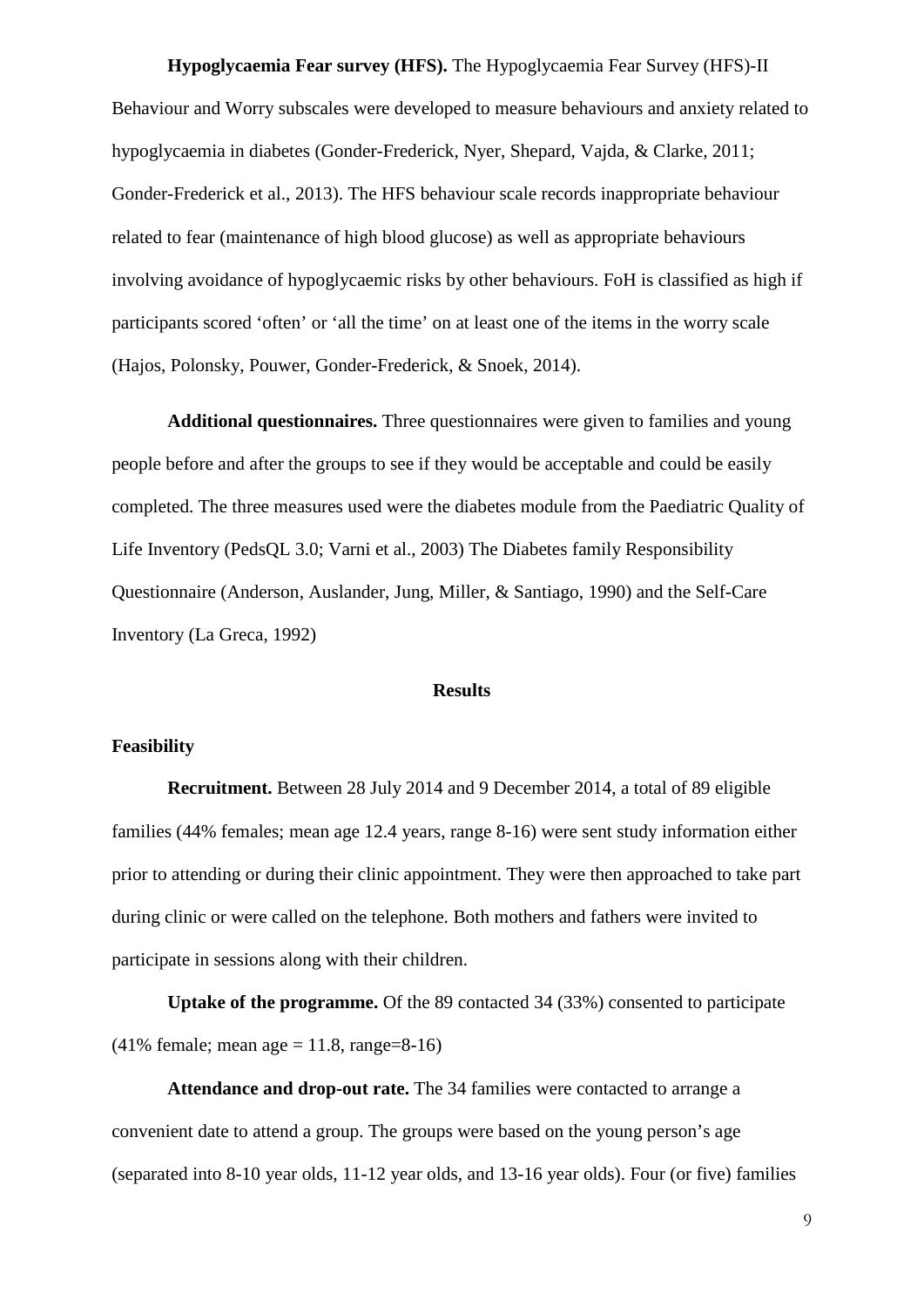**Hypoglycaemia Fear survey (HFS).** The Hypoglycaemia Fear Survey (HFS)-II Behaviour and Worry subscales were developed to measure behaviours and anxiety related to hypoglycaemia in diabetes (Gonder-Frederick, Nyer, Shepard, Vajda, & Clarke, 2011; Gonder-Frederick et al., 2013). The HFS behaviour scale records inappropriate behaviour related to fear (maintenance of high blood glucose) as well as appropriate behaviours involving avoidance of hypoglycaemic risks by other behaviours. FoH is classified as high if participants scored 'often' or 'all the time' on at least one of the items in the worry scale (Hajos, Polonsky, Pouwer, Gonder-Frederick, & Snoek, 2014).

**Additional questionnaires.** Three questionnaires were given to families and young people before and after the groups to see if they would be acceptable and could be easily completed. The three measures used were the diabetes module from the Paediatric Quality of Life Inventory (PedsQL 3.0; Varni et al., 2003) The Diabetes family Responsibility Questionnaire (Anderson, Auslander, Jung, Miller, & Santiago, 1990) and the Self-Care Inventory (La Greca, 1992)

### **Results**

#### **Feasibility**

**Recruitment.** Between 28 July 2014 and 9 December 2014, a total of 89 eligible families (44% females; mean age 12.4 years, range 8-16) were sent study information either prior to attending or during their clinic appointment. They were then approached to take part during clinic or were called on the telephone. Both mothers and fathers were invited to participate in sessions along with their children.

**Uptake of the programme.** Of the 89 contacted 34 (33%) consented to participate  $(41\% \text{ female: mean age} = 11.8 \text{, range} = 8-16)$ 

**Attendance and drop-out rate.** The 34 families were contacted to arrange a convenient date to attend a group. The groups were based on the young person's age (separated into 8-10 year olds, 11-12 year olds, and 13-16 year olds). Four (or five) families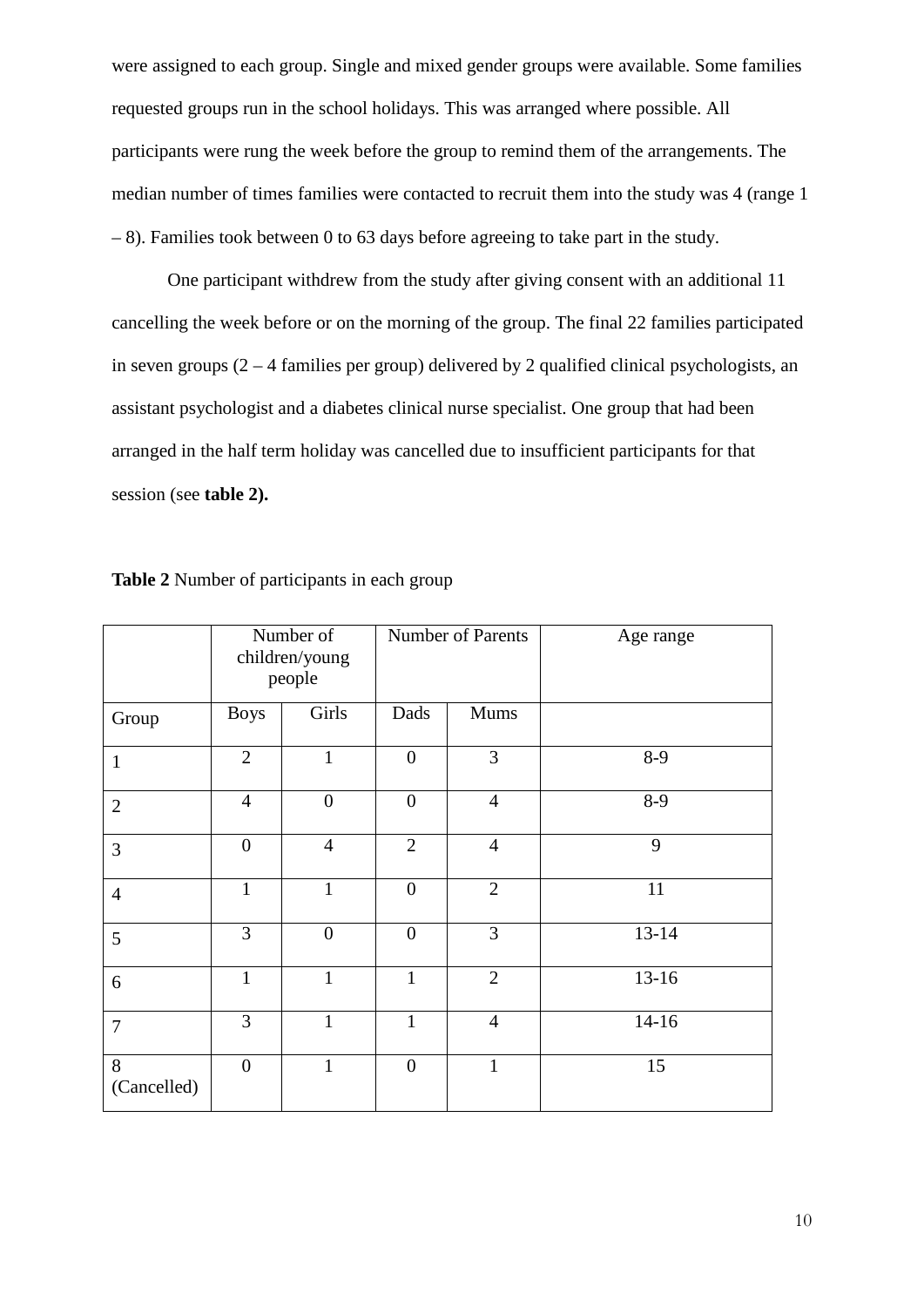were assigned to each group. Single and mixed gender groups were available. Some families requested groups run in the school holidays. This was arranged where possible. All participants were rung the week before the group to remind them of the arrangements. The median number of times families were contacted to recruit them into the study was 4 (range 1 – 8). Families took between 0 to 63 days before agreeing to take part in the study.

One participant withdrew from the study after giving consent with an additional 11 cancelling the week before or on the morning of the group. The final 22 families participated in seven groups  $(2 - 4$  families per group) delivered by 2 qualified clinical psychologists, an assistant psychologist and a diabetes clinical nurse specialist. One group that had been arranged in the half term holiday was cancelled due to insufficient participants for that session (see **table 2).**

|                  |                | Number of<br>children/young<br>people | <b>Number of Parents</b> |                | Age range |
|------------------|----------------|---------------------------------------|--------------------------|----------------|-----------|
| Group            | <b>Boys</b>    | Girls                                 | Dads                     | Mums           |           |
| 1                | $\overline{2}$ | $\mathbf{1}$                          | $\overline{0}$           | 3              | $8-9$     |
| $\overline{2}$   | $\overline{4}$ | $\overline{0}$                        | $\overline{0}$           | $\overline{4}$ | $8-9$     |
| 3                | $\overline{0}$ | $\overline{4}$                        | $\overline{2}$           | $\overline{4}$ | 9         |
| $\overline{4}$   | 1              | $\mathbf{1}$                          | $\overline{0}$           | $\overline{2}$ | 11        |
| 5                | $\overline{3}$ | $\overline{0}$                        | $\overline{0}$           | 3              | $13 - 14$ |
| 6                | $\mathbf{1}$   | $\mathbf{1}$                          | $\mathbf{1}$             | $\overline{2}$ | $13 - 16$ |
| $\overline{7}$   | 3              | $\mathbf{1}$                          | 1                        | $\overline{4}$ | $14-16$   |
| 8<br>(Cancelled) | $\overline{0}$ | $\mathbf{1}$                          | $\overline{0}$           | $\mathbf{1}$   | 15        |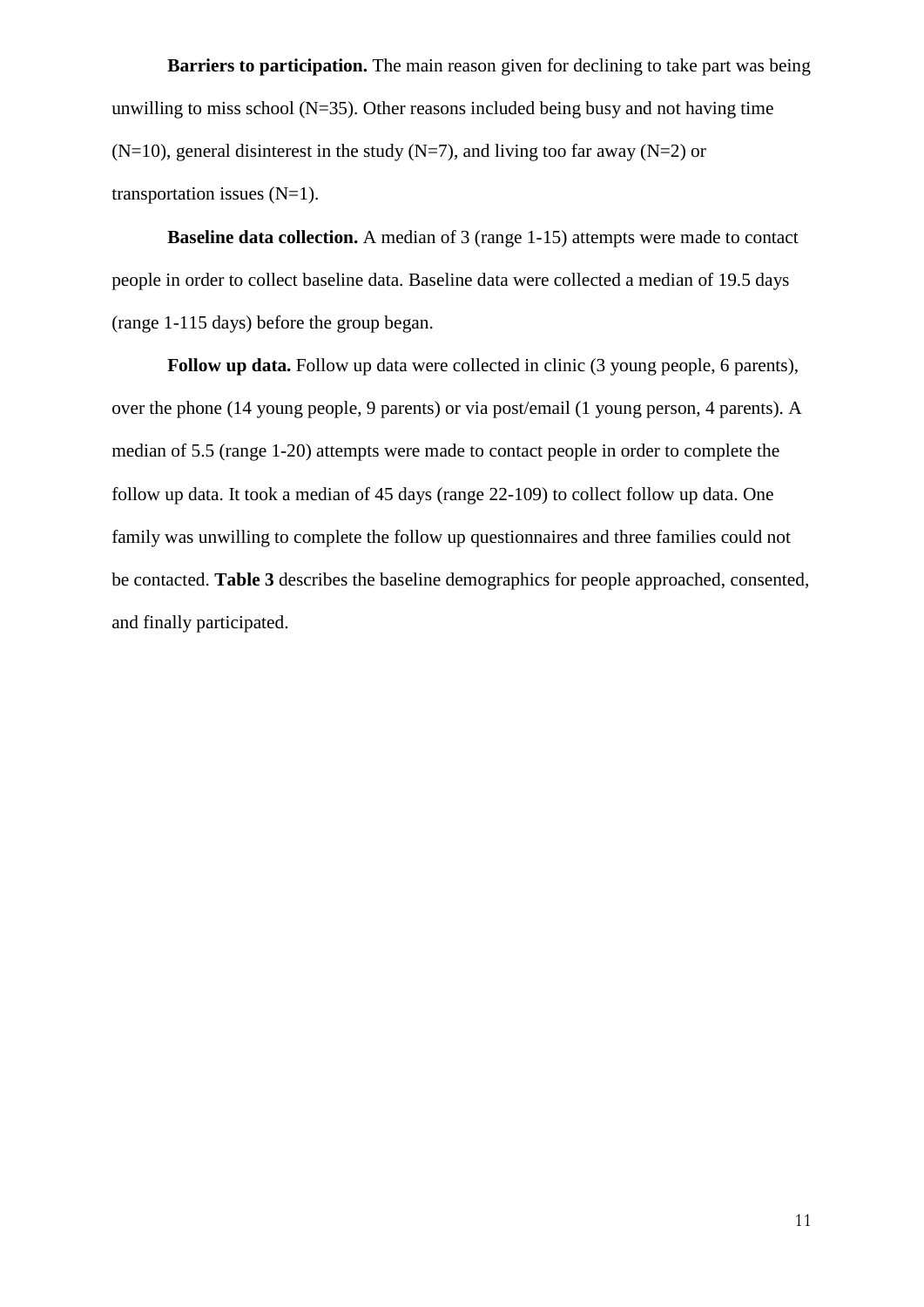**Barriers to participation.** The main reason given for declining to take part was being unwilling to miss school  $(N=35)$ . Other reasons included being busy and not having time  $(N=10)$ , general disinterest in the study  $(N=7)$ , and living too far away  $(N=2)$  or transportation issues  $(N=1)$ .

**Baseline data collection.** A median of 3 (range 1-15) attempts were made to contact people in order to collect baseline data. Baseline data were collected a median of 19.5 days (range 1-115 days) before the group began.

**Follow up data.** Follow up data were collected in clinic (3 young people, 6 parents). over the phone (14 young people, 9 parents) or via post/email (1 young person, 4 parents). A median of 5.5 (range 1-20) attempts were made to contact people in order to complete the follow up data. It took a median of 45 days (range 22-109) to collect follow up data. One family was unwilling to complete the follow up questionnaires and three families could not be contacted. **Table 3** describes the baseline demographics for people approached, consented, and finally participated.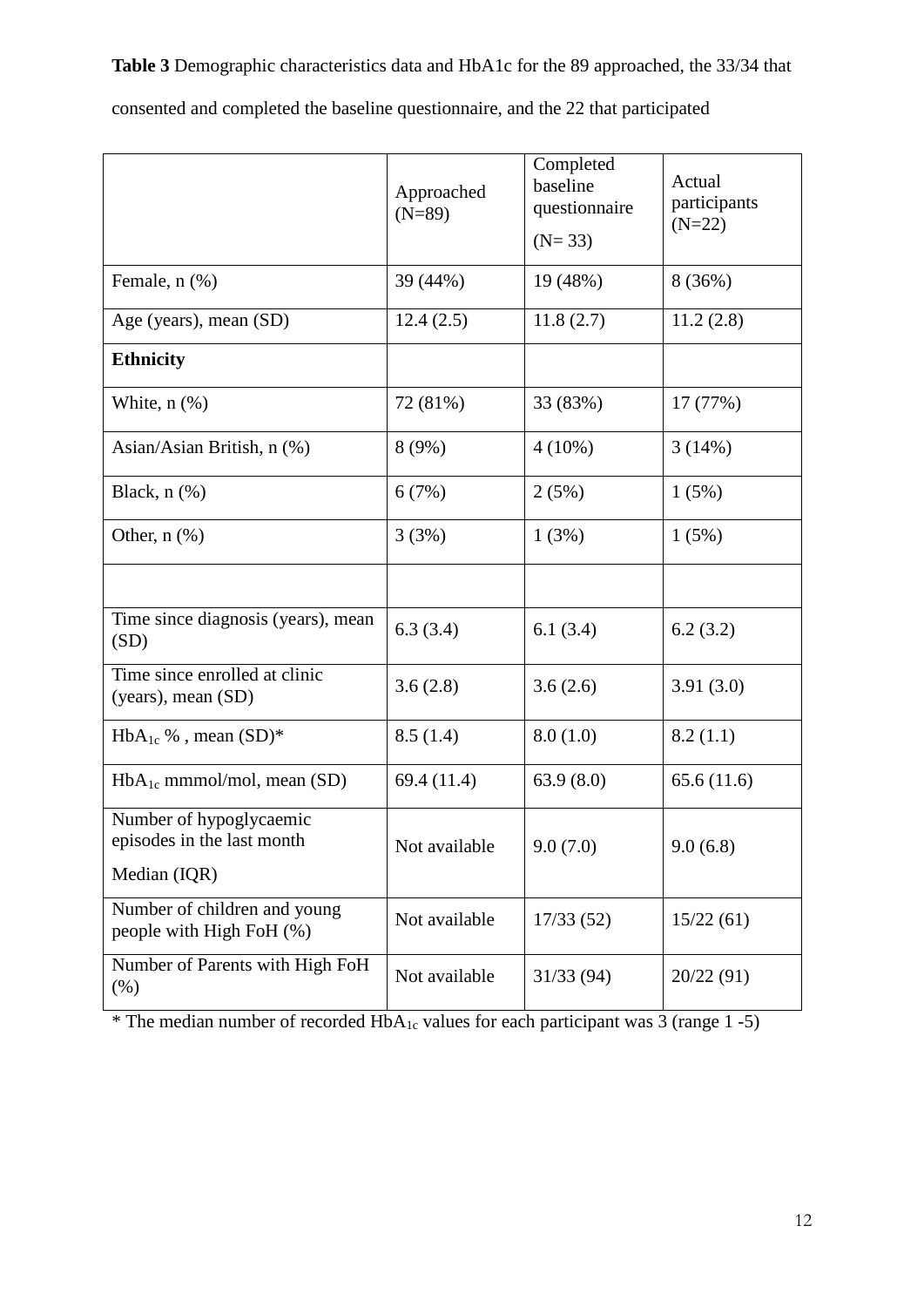**Table 3** Demographic characteristics data and HbA1c for the 89 approached, the 33/34 that consented and completed the baseline questionnaire, and the 22 that participated

|                                                                       | Approached<br>$(N=89)$ | Completed<br>baseline<br>questionnaire<br>$(N=33)$ | Actual<br>participants<br>$(N=22)$ |
|-----------------------------------------------------------------------|------------------------|----------------------------------------------------|------------------------------------|
| Female, n (%)                                                         | 39 (44%)               | 19 (48%)                                           | 8 (36%)                            |
| Age (years), mean (SD)                                                | 12.4(2.5)              | 11.8(2.7)                                          | 11.2(2.8)                          |
| <b>Ethnicity</b>                                                      |                        |                                                    |                                    |
| White, $n$ $(\%)$                                                     | 72 (81%)               | 33 (83%)                                           | 17 (77%)                           |
| Asian/Asian British, n (%)                                            | 8(9%)                  | $4(10\%)$                                          | 3(14%)                             |
| Black, $n$ $(\%)$                                                     | 6(7%)                  | 2(5%)                                              | 1(5%)                              |
| Other, $n$ $(\%)$                                                     | 3(3%)                  | 1(3%)                                              | 1(5%)                              |
|                                                                       |                        |                                                    |                                    |
| Time since diagnosis (years), mean<br>(SD)                            | 6.3(3.4)               | 6.1(3.4)                                           | 6.2(3.2)                           |
| Time since enrolled at clinic<br>(years), mean (SD)                   | 3.6(2.8)               | 3.6(2.6)                                           | 3.91(3.0)                          |
| $HbA_{1c}$ %, mean $(SD)^*$                                           | 8.5(1.4)               | 8.0(1.0)                                           | 8.2(1.1)                           |
| $HbA_{1c}$ mmmol/mol, mean (SD)                                       | 69.4 (11.4)            | 63.9(8.0)                                          | 65.6(11.6)                         |
| Number of hypoglycaemic<br>episodes in the last month<br>Median (IQR) | Not available          | 9.0(7.0)                                           | 9.0(6.8)                           |
| Number of children and young<br>people with High FoH (%)              | Not available          | 17/33(52)                                          | 15/22(61)                          |
| Number of Parents with High FoH<br>(% )                               | Not available          | 31/33(94)                                          | 20/22 (91)                         |

\* The median number of recorded  $HbA_{1c}$  values for each participant was 3 (range 1-5)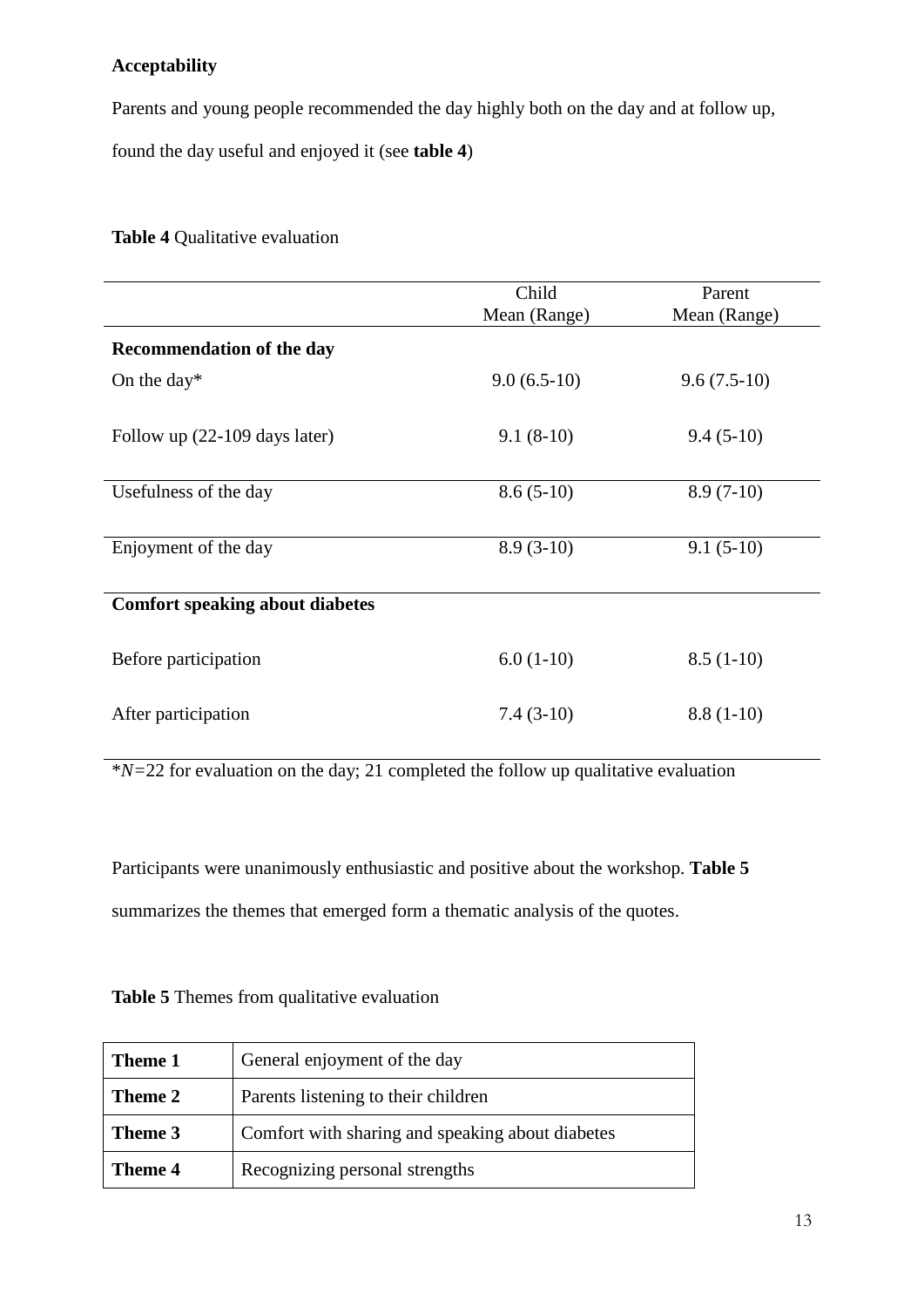# **Acceptability**

Parents and young people recommended the day highly both on the day and at follow up,

found the day useful and enjoyed it (see **table 4**)

**Table 4** Qualitative evaluation

|                                        | Child<br>Mean (Range) | Parent<br>Mean (Range) |
|----------------------------------------|-----------------------|------------------------|
| <b>Recommendation of the day</b>       |                       |                        |
| On the day $*$                         | $9.0(6.5-10)$         | $9.6(7.5-10)$          |
| Follow up (22-109 days later)          | $9.1(8-10)$           | $9.4(5-10)$            |
| Usefulness of the day                  | $8.6(5-10)$           | $8.9(7-10)$            |
| Enjoyment of the day                   | $8.9(3-10)$           | $9.1(5-10)$            |
| <b>Comfort speaking about diabetes</b> |                       |                        |
| Before participation                   | $6.0(1-10)$           | $8.5(1-10)$            |
| After participation                    | $7.4(3-10)$           | $8.8(1-10)$            |

\**N=*22 for evaluation on the day; 21 completed the follow up qualitative evaluation

Participants were unanimously enthusiastic and positive about the workshop. **Table 5** summarizes the themes that emerged form a thematic analysis of the quotes.

| General enjoyment of the day<br>Theme 1 |                                                  |
|-----------------------------------------|--------------------------------------------------|
| Theme 2                                 | Parents listening to their children              |
| Theme 3                                 | Comfort with sharing and speaking about diabetes |
| Theme 4                                 | Recognizing personal strengths                   |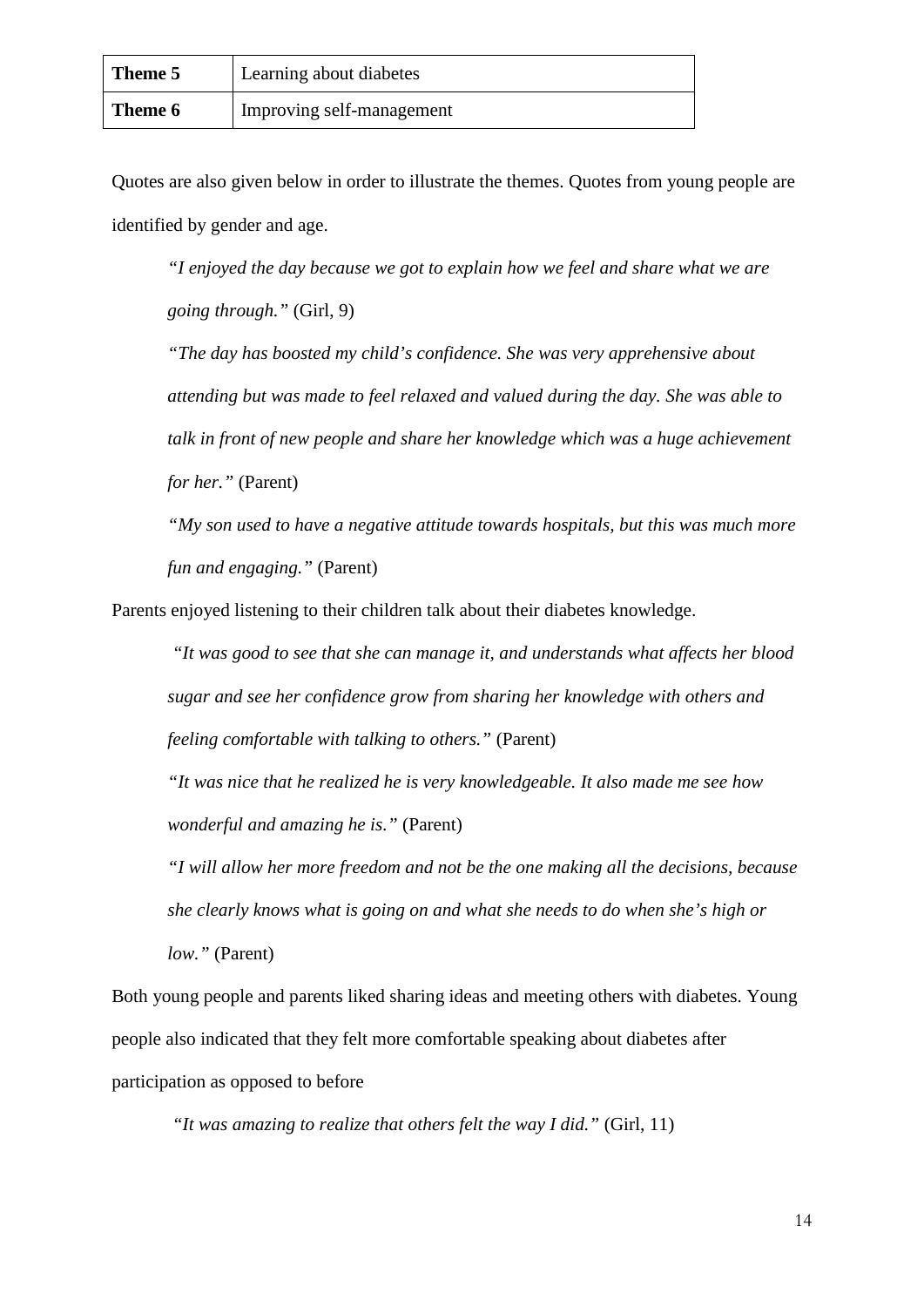| Theme 5 | Learning about diabetes   |
|---------|---------------------------|
| Theme 6 | Improving self-management |

Quotes are also given below in order to illustrate the themes. Quotes from young people are identified by gender and age.

*"I enjoyed the day because we got to explain how we feel and share what we are going through."* (Girl, 9)

*"The day has boosted my child's confidence. She was very apprehensive about attending but was made to feel relaxed and valued during the day. She was able to talk in front of new people and share her knowledge which was a huge achievement for her."* (Parent)

*"My son used to have a negative attitude towards hospitals, but this was much more fun and engaging."* (Parent)

Parents enjoyed listening to their children talk about their diabetes knowledge.

*"It was good to see that she can manage it, and understands what affects her blood sugar and see her confidence grow from sharing her knowledge with others and feeling comfortable with talking to others."* (Parent)

*"It was nice that he realized he is very knowledgeable. It also made me see how wonderful and amazing he is."* (Parent)

*"I will allow her more freedom and not be the one making all the decisions, because she clearly knows what is going on and what she needs to do when she's high or low."* (Parent)

Both young people and parents liked sharing ideas and meeting others with diabetes. Young people also indicated that they felt more comfortable speaking about diabetes after participation as opposed to before

*"It was amazing to realize that others felt the way I did."* (Girl, 11)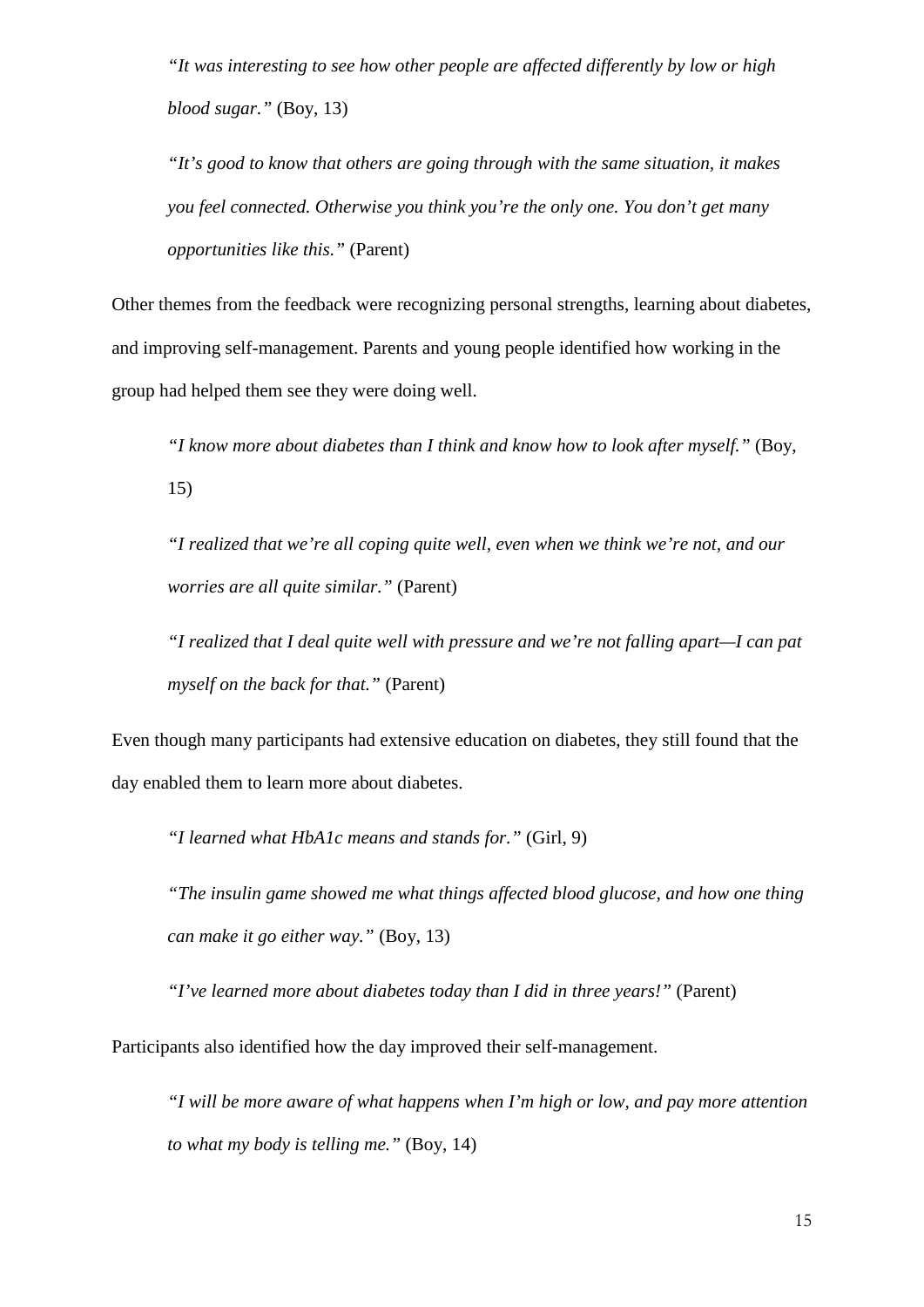*"It was interesting to see how other people are affected differently by low or high blood sugar."* (Boy, 13)

*"It's good to know that others are going through with the same situation, it makes you feel connected. Otherwise you think you're the only one. You don't get many opportunities like this."* (Parent)

Other themes from the feedback were recognizing personal strengths, learning about diabetes, and improving self-management. Parents and young people identified how working in the group had helped them see they were doing well.

*"I know more about diabetes than I think and know how to look after myself."* (Boy, 15)

*"I realized that we're all coping quite well, even when we think we're not, and our worries are all quite similar."* (Parent)

*"I realized that I deal quite well with pressure and we're not falling apart—I can pat myself on the back for that."* (Parent)

Even though many participants had extensive education on diabetes, they still found that the day enabled them to learn more about diabetes.

*"I learned what HbA1c means and stands for."* (Girl, 9)

*"The insulin game showed me what things affected blood glucose, and how one thing can make it go either way."* (Boy, 13)

*"I've learned more about diabetes today than I did in three years!"* (Parent)

Participants also identified how the day improved their self-management.

*"I will be more aware of what happens when I'm high or low, and pay more attention to what my body is telling me."* (Boy, 14)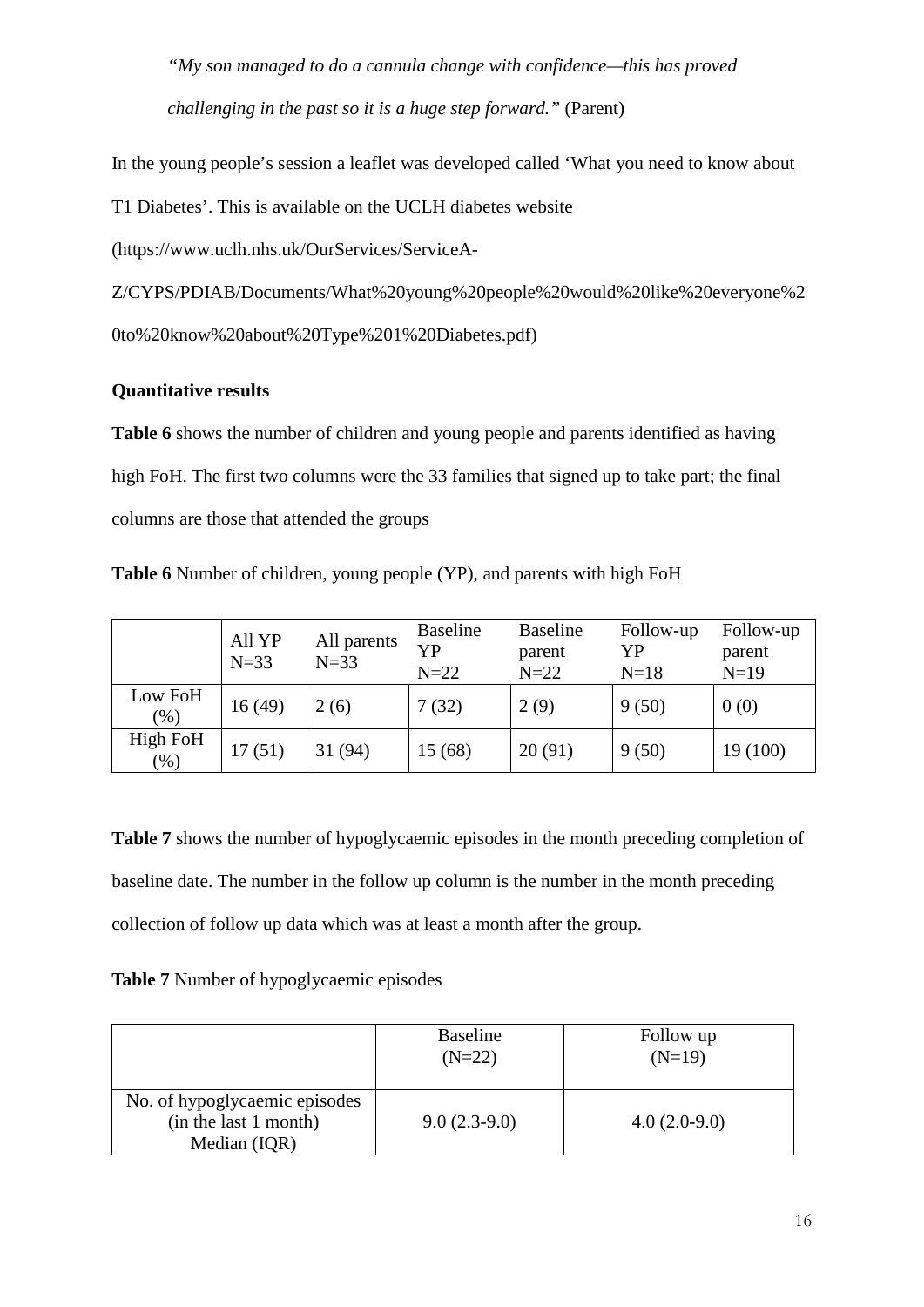*"My son managed to do a cannula change with confidence—this has proved challenging in the past so it is a huge step forward."* (Parent)

In the young people's session a leaflet was developed called 'What you need to know about

T1 Diabetes'. This is available on the UCLH diabetes website

(https://www.uclh.nhs.uk/OurServices/ServiceA-

Z/CYPS/PDIAB/Documents/What%20young%20people%20would%20like%20everyone%2 0to%20know%20about%20Type%201%20Diabetes.pdf)

# **Quantitative results**

**Table 6** shows the number of children and young people and parents identified as having high FoH. The first two columns were the 33 families that signed up to take part; the final columns are those that attended the groups

**Table 6** Number of children, young people (YP), and parents with high FoH

|                   | All YP<br>$N=33$ | All parents<br>$N=33$ | <b>Baseline</b><br>YP<br>$N=22$ | <b>Baseline</b><br>parent<br>$N=22$ | Follow-up<br>YP<br>$N=18$ | Follow-up<br>parent<br>$N=19$ |
|-------------------|------------------|-----------------------|---------------------------------|-------------------------------------|---------------------------|-------------------------------|
| Low FoH<br>$(\%)$ | 16(49)           | 2(6)                  | 7(32)                           | 2(9)                                | 9(50)                     | 0(0)                          |
| High FoH<br>(96)  | 17(51)           | 31 (94)               | 15 (68)                         | 20(91)                              | 9(50)                     | 19 (100)                      |

**Table 7** shows the number of hypoglycaemic episodes in the month preceding completion of baseline date. The number in the follow up column is the number in the month preceding collection of follow up data which was at least a month after the group.

## **Table 7** Number of hypoglycaemic episodes

|                                                                        | <b>Baseline</b><br>$(N=22)$ | Follow up<br>$(N=19)$ |
|------------------------------------------------------------------------|-----------------------------|-----------------------|
| No. of hypoglycaemic episodes<br>(in the last 1 month)<br>Median (IQR) | $9.0(2.3-9.0)$              | $4.0(2.0-9.0)$        |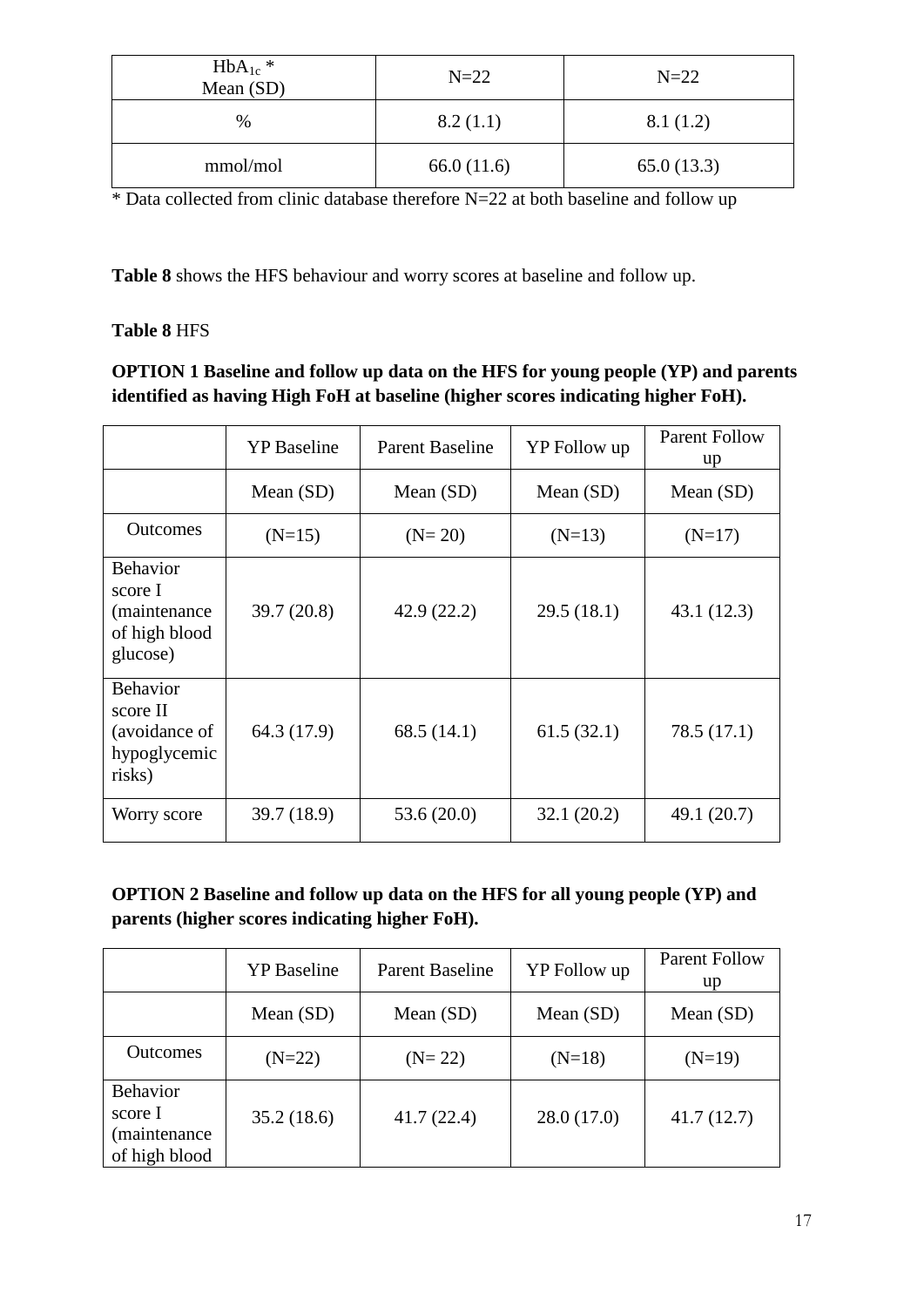| $HbA_{1c}$ *<br>Mean (SD) | $N=22$     | $N=22$     |
|---------------------------|------------|------------|
| %                         | 8.2(1.1)   | 8.1(1.2)   |
| mmol/mol                  | 66.0(11.6) | 65.0(13.3) |

 $*$  Data collected from clinic database therefore N=22 at both baseline and follow up

**Table 8** shows the HFS behaviour and worry scores at baseline and follow up.

# **Table 8** HFS

# **OPTION 1 Baseline and follow up data on the HFS for young people (YP) and parents identified as having High FoH at baseline (higher scores indicating higher FoH).**

|                                                                          | <b>YP</b> Baseline | <b>Parent Baseline</b> | YP Follow up | <b>Parent Follow</b><br>up |
|--------------------------------------------------------------------------|--------------------|------------------------|--------------|----------------------------|
|                                                                          | Mean $(SD)$        | Mean $(SD)$            | Mean $(SD)$  | Mean $(SD)$                |
| <b>Outcomes</b>                                                          | $(N=15)$           | $(N=20)$               | $(N=13)$     | $(N=17)$                   |
| <b>Behavior</b><br>score I<br>(maintenance)<br>of high blood<br>glucose) | 39.7(20.8)         | 42.9(22.2)             | 29.5(18.1)   | 43.1(12.3)                 |
| <b>Behavior</b><br>score II<br>(avoidance of<br>hypoglycemic<br>risks)   | 64.3 (17.9)        | 68.5(14.1)             | 61.5(32.1)   | 78.5 (17.1)                |
| Worry score                                                              | 39.7 (18.9)        | 53.6(20.0)             | 32.1(20.2)   | 49.1 (20.7)                |

# **OPTION 2 Baseline and follow up data on the HFS for all young people (YP) and parents (higher scores indicating higher FoH).**

|                                                              | <b>YP</b> Baseline | <b>Parent Baseline</b> | YP Follow up | <b>Parent Follow</b><br>up |
|--------------------------------------------------------------|--------------------|------------------------|--------------|----------------------------|
|                                                              | Mean $(SD)$        | Mean $(SD)$            | Mean $(SD)$  | Mean $(SD)$                |
| <b>Outcomes</b>                                              | $(N=22)$           | $(N=22)$               | $(N=18)$     | $(N=19)$                   |
| <b>Behavior</b><br>score I<br>(maintenance)<br>of high blood | 35.2(18.6)         | 41.7(22.4)             | 28.0(17.0)   | 41.7(12.7)                 |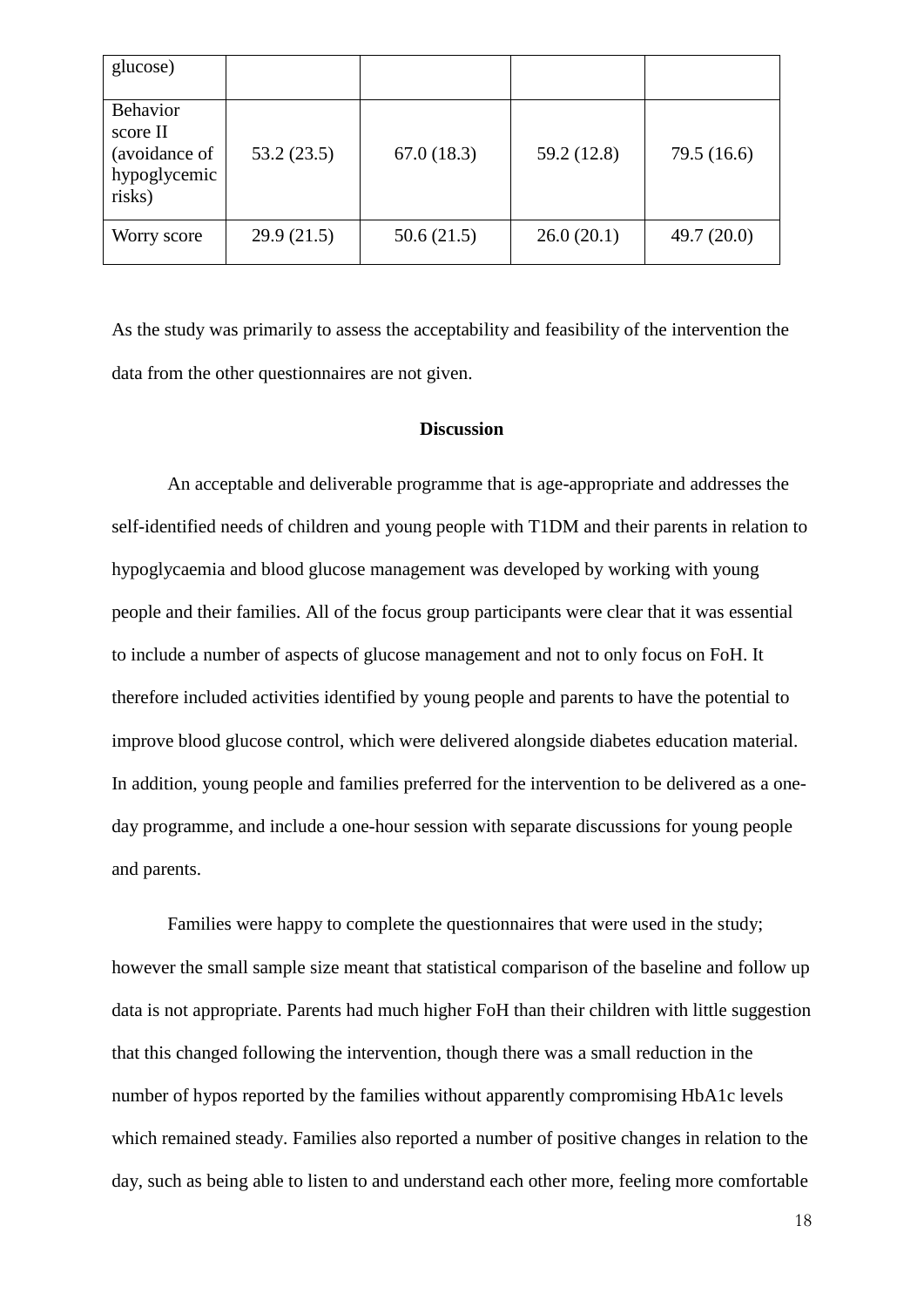| glucose)                                                               |            |            |             |               |
|------------------------------------------------------------------------|------------|------------|-------------|---------------|
| <b>Behavior</b><br>score II<br>(avoidance of<br>hypoglycemic<br>risks) | 53.2(23.5) | 67.0(18.3) | 59.2 (12.8) | 79.5 (16.6)   |
| Worry score                                                            | 29.9(21.5) | 50.6(21.5) | 26.0(20.1)  | 49.7 $(20.0)$ |

As the study was primarily to assess the acceptability and feasibility of the intervention the data from the other questionnaires are not given.

### **Discussion**

An acceptable and deliverable programme that is age-appropriate and addresses the self-identified needs of children and young people with T1DM and their parents in relation to hypoglycaemia and blood glucose management was developed by working with young people and their families. All of the focus group participants were clear that it was essential to include a number of aspects of glucose management and not to only focus on FoH. It therefore included activities identified by young people and parents to have the potential to improve blood glucose control, which were delivered alongside diabetes education material. In addition, young people and families preferred for the intervention to be delivered as a oneday programme, and include a one-hour session with separate discussions for young people and parents.

Families were happy to complete the questionnaires that were used in the study; however the small sample size meant that statistical comparison of the baseline and follow up data is not appropriate. Parents had much higher FoH than their children with little suggestion that this changed following the intervention, though there was a small reduction in the number of hypos reported by the families without apparently compromising HbA1c levels which remained steady. Families also reported a number of positive changes in relation to the day, such as being able to listen to and understand each other more, feeling more comfortable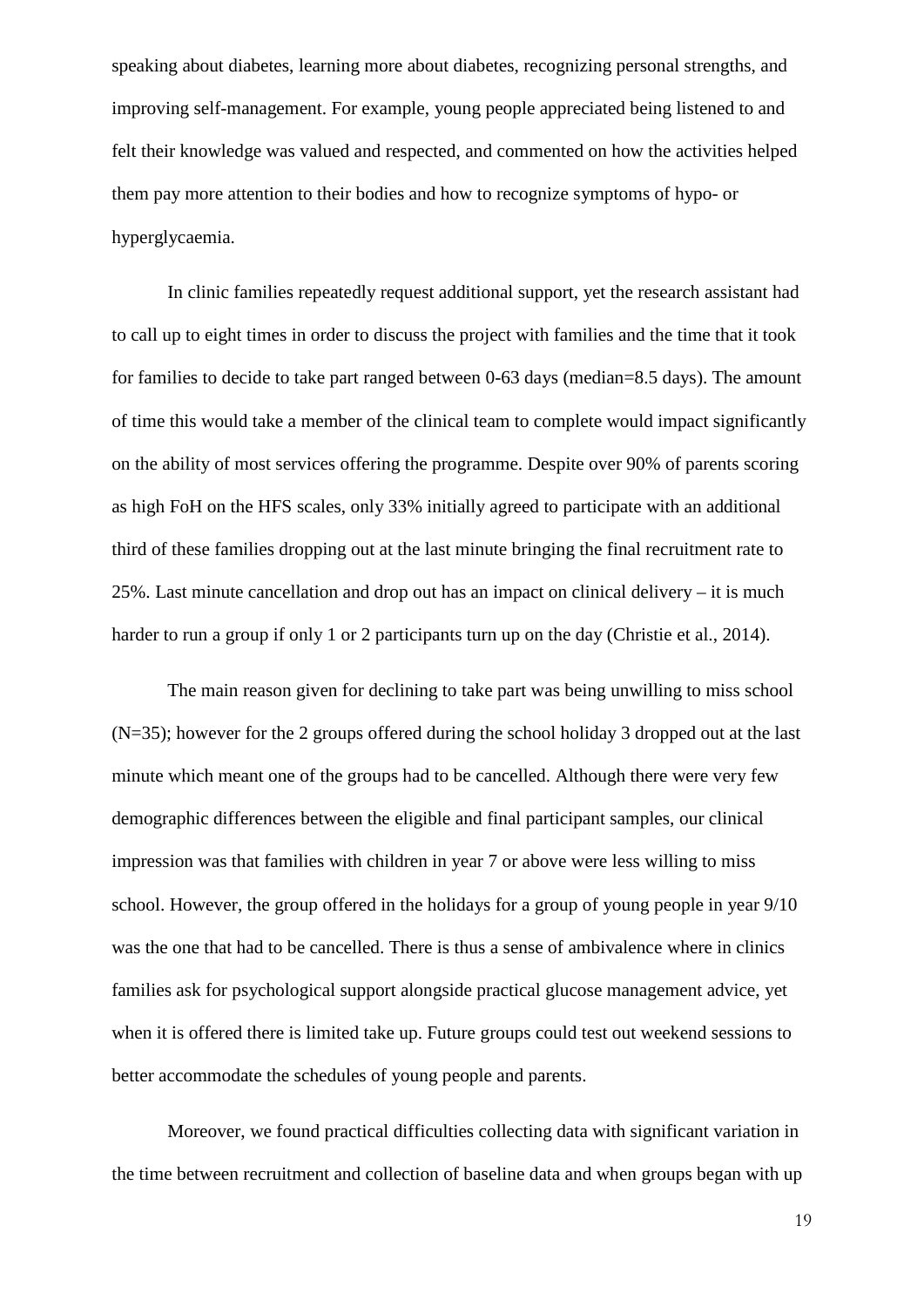speaking about diabetes, learning more about diabetes, recognizing personal strengths, and improving self-management. For example, young people appreciated being listened to and felt their knowledge was valued and respected, and commented on how the activities helped them pay more attention to their bodies and how to recognize symptoms of hypo- or hyperglycaemia.

In clinic families repeatedly request additional support, yet the research assistant had to call up to eight times in order to discuss the project with families and the time that it took for families to decide to take part ranged between 0-63 days (median=8.5 days). The amount of time this would take a member of the clinical team to complete would impact significantly on the ability of most services offering the programme. Despite over 90% of parents scoring as high FoH on the HFS scales, only 33% initially agreed to participate with an additional third of these families dropping out at the last minute bringing the final recruitment rate to 25%. Last minute cancellation and drop out has an impact on clinical delivery – it is much harder to run a group if only 1 or 2 participants turn up on the day (Christie et al., 2014).

The main reason given for declining to take part was being unwilling to miss school (N=35); however for the 2 groups offered during the school holiday 3 dropped out at the last minute which meant one of the groups had to be cancelled. Although there were very few demographic differences between the eligible and final participant samples, our clinical impression was that families with children in year 7 or above were less willing to miss school. However, the group offered in the holidays for a group of young people in year 9/10 was the one that had to be cancelled. There is thus a sense of ambivalence where in clinics families ask for psychological support alongside practical glucose management advice, yet when it is offered there is limited take up. Future groups could test out weekend sessions to better accommodate the schedules of young people and parents.

Moreover, we found practical difficulties collecting data with significant variation in the time between recruitment and collection of baseline data and when groups began with up

19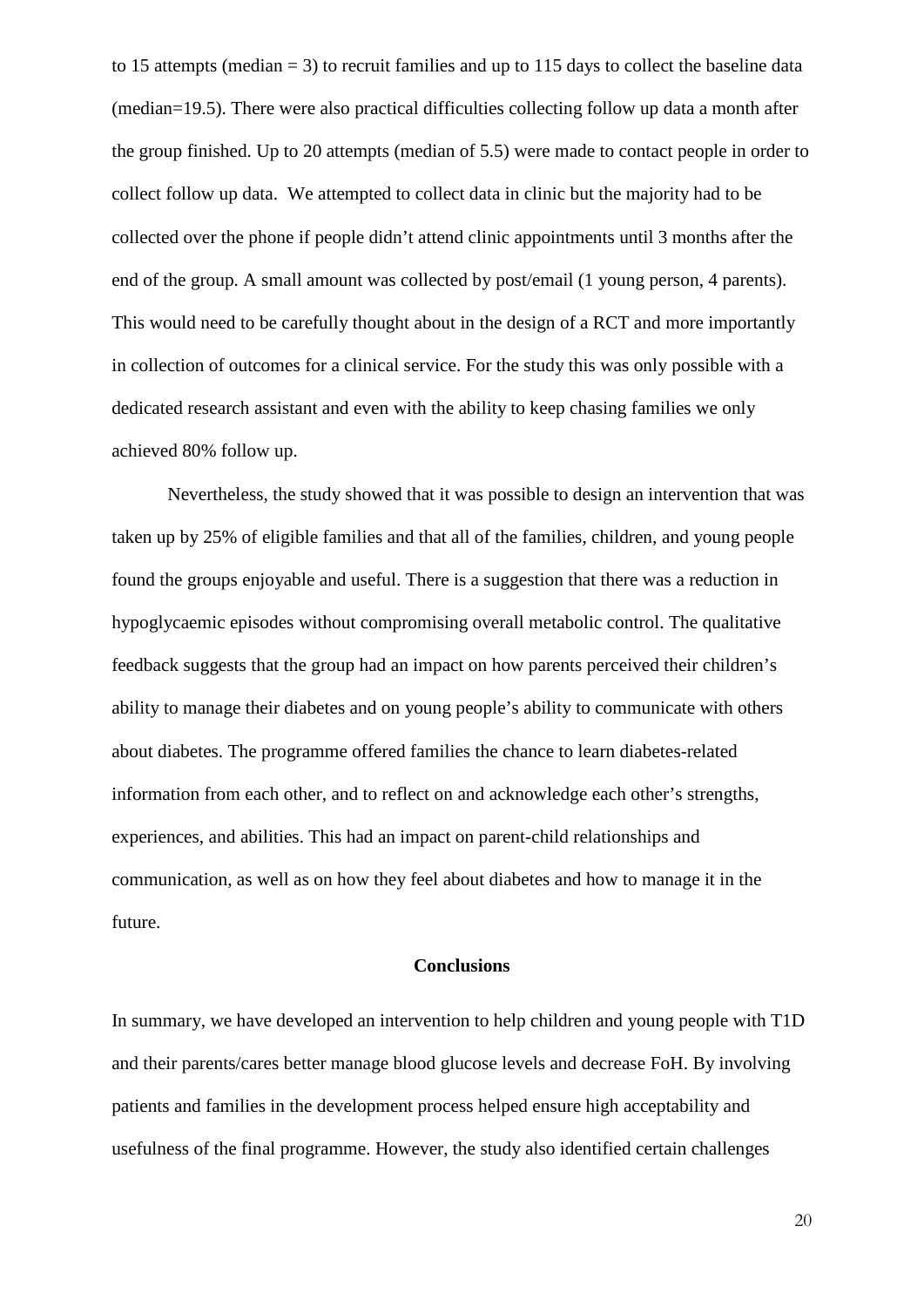to 15 attempts (median  $= 3$ ) to recruit families and up to 115 days to collect the baseline data (median=19.5). There were also practical difficulties collecting follow up data a month after the group finished. Up to 20 attempts (median of 5.5) were made to contact people in order to collect follow up data. We attempted to collect data in clinic but the majority had to be collected over the phone if people didn't attend clinic appointments until 3 months after the end of the group. A small amount was collected by post/email (1 young person, 4 parents). This would need to be carefully thought about in the design of a RCT and more importantly in collection of outcomes for a clinical service. For the study this was only possible with a dedicated research assistant and even with the ability to keep chasing families we only achieved 80% follow up.

Nevertheless, the study showed that it was possible to design an intervention that was taken up by 25% of eligible families and that all of the families, children, and young people found the groups enjoyable and useful. There is a suggestion that there was a reduction in hypoglycaemic episodes without compromising overall metabolic control. The qualitative feedback suggests that the group had an impact on how parents perceived their children's ability to manage their diabetes and on young people's ability to communicate with others about diabetes. The programme offered families the chance to learn diabetes-related information from each other, and to reflect on and acknowledge each other's strengths, experiences, and abilities. This had an impact on parent-child relationships and communication, as well as on how they feel about diabetes and how to manage it in the future.

#### **Conclusions**

In summary, we have developed an intervention to help children and young people with T1D and their parents/cares better manage blood glucose levels and decrease FoH. By involving patients and families in the development process helped ensure high acceptability and usefulness of the final programme. However, the study also identified certain challenges

20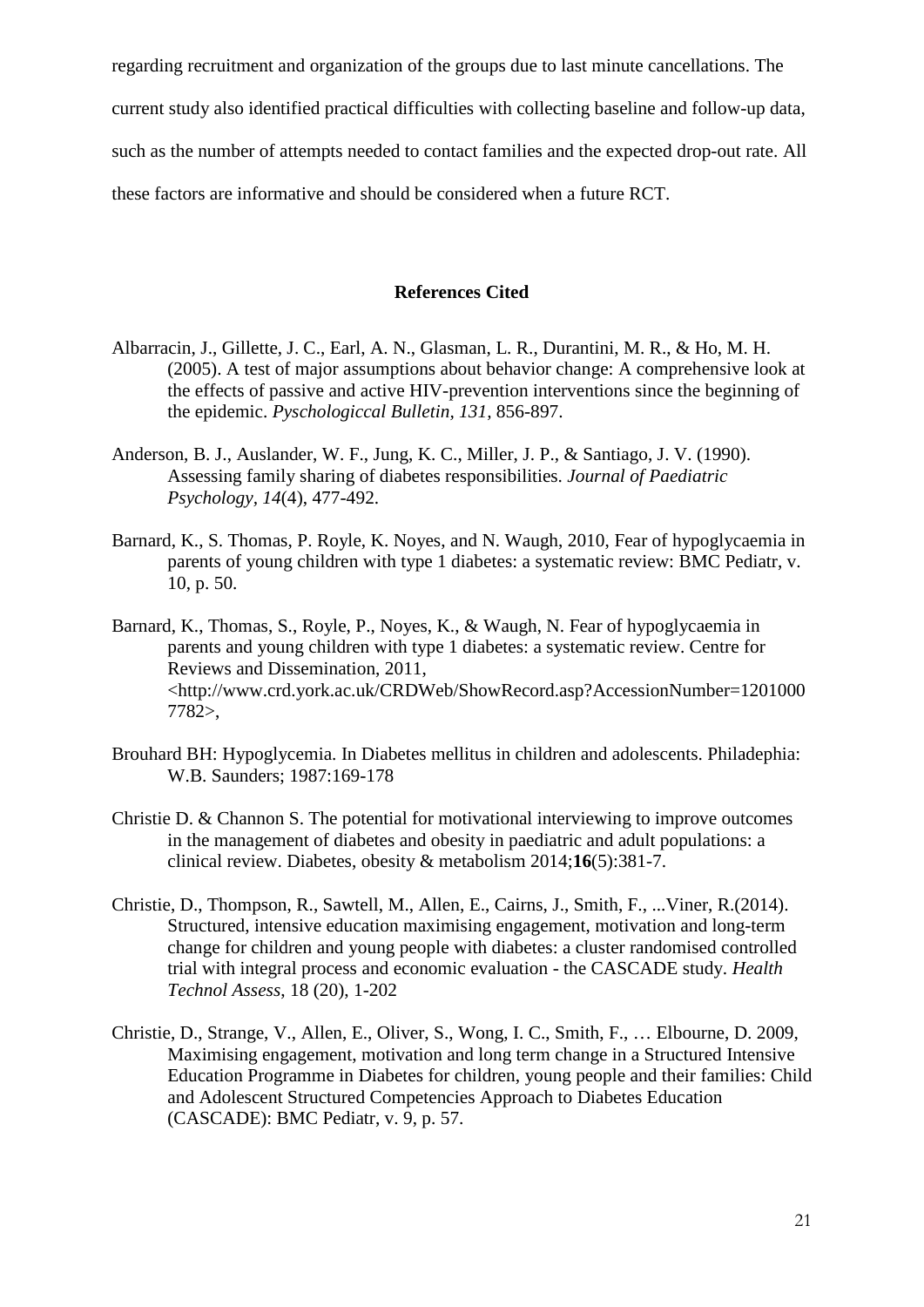regarding recruitment and organization of the groups due to last minute cancellations. The current study also identified practical difficulties with collecting baseline and follow-up data, such as the number of attempts needed to contact families and the expected drop-out rate. All these factors are informative and should be considered when a future RCT.

#### **References Cited**

- Albarracin, J., Gillette, J. C., Earl, A. N., Glasman, L. R., Durantini, M. R., & Ho, M. H. (2005). A test of major assumptions about behavior change: A comprehensive look at the effects of passive and active HIV-prevention interventions since the beginning of the epidemic. *Pyschologiccal Bulletin, 131,* 856-897.
- Anderson, B. J., Auslander, W. F., Jung, K. C., Miller, J. P., & Santiago, J. V. (1990). Assessing family sharing of diabetes responsibilities. *Journal of Paediatric Psychology, 14*(4), 477-492.
- Barnard, K., S. Thomas, P. Royle, K. Noyes, and N. Waugh, 2010, Fear of hypoglycaemia in parents of young children with type 1 diabetes: a systematic review: BMC Pediatr, v. 10, p. 50.
- Barnard, K., Thomas, S., Royle, P., Noyes, K., & Waugh, N. Fear of hypoglycaemia in parents and young children with type 1 diabetes: a systematic review. Centre for Reviews and Dissemination, 2011, <http://www.crd.york.ac.uk/CRDWeb/ShowRecord.asp?AccessionNumber=1201000 7782>,
- Brouhard BH: Hypoglycemia. In Diabetes mellitus in children and adolescents. Philadephia: W.B. Saunders; 1987:169-178
- Christie D. & Channon S. The potential for motivational interviewing to improve outcomes in the management of diabetes and obesity in paediatric and adult populations: a clinical review. Diabetes, obesity & metabolism 2014;**16**(5):381-7.
- Christie, D., Thompson, R., Sawtell, M., Allen, E., Cairns, J., Smith, F., ...Viner, R.(2014). Structured, intensive education maximising engagement, motivation and long-term change for children and young people with diabetes: a cluster randomised controlled trial with integral process and economic evaluation - the CASCADE study. *Health Technol Assess*, 18 (20), 1-202
- Christie, D., Strange, V., Allen, E., Oliver, S., Wong, I. C., Smith, F., … Elbourne, D. 2009, Maximising engagement, motivation and long term change in a Structured Intensive Education Programme in Diabetes for children, young people and their families: Child and Adolescent Structured Competencies Approach to Diabetes Education (CASCADE): BMC Pediatr, v. 9, p. 57.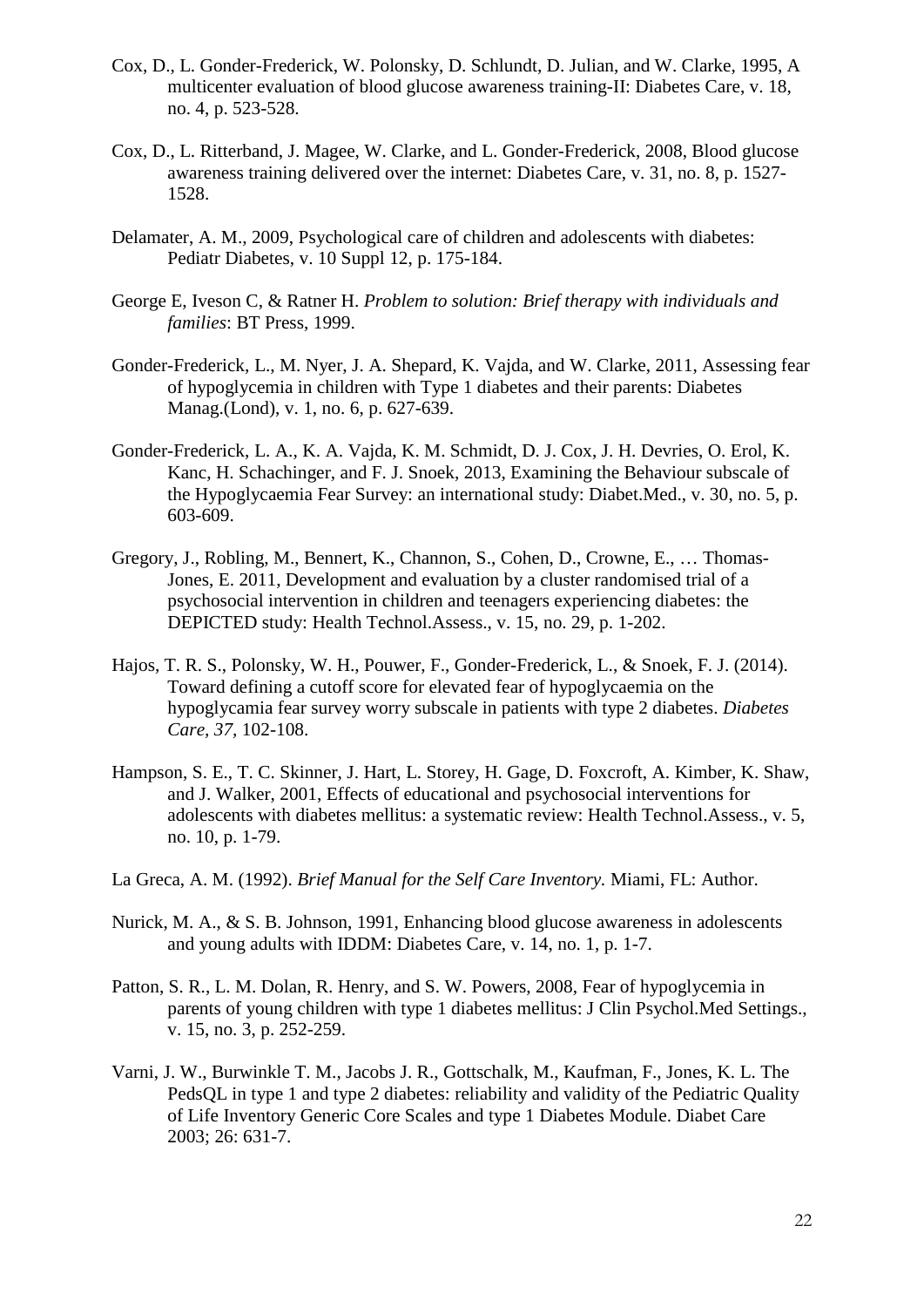- Cox, D., L. Gonder-Frederick, W. Polonsky, D. Schlundt, D. Julian, and W. Clarke, 1995, A multicenter evaluation of blood glucose awareness training-II: Diabetes Care, v. 18, no. 4, p. 523-528.
- Cox, D., L. Ritterband, J. Magee, W. Clarke, and L. Gonder-Frederick, 2008, Blood glucose awareness training delivered over the internet: Diabetes Care, v. 31, no. 8, p. 1527- 1528.
- Delamater, A. M., 2009, Psychological care of children and adolescents with diabetes: Pediatr Diabetes, v. 10 Suppl 12, p. 175-184.
- George E, Iveson C, & Ratner H. *Problem to solution: Brief therapy with individuals and families*: BT Press, 1999.
- Gonder-Frederick, L., M. Nyer, J. A. Shepard, K. Vajda, and W. Clarke, 2011, Assessing fear of hypoglycemia in children with Type 1 diabetes and their parents: Diabetes Manag.(Lond), v. 1, no. 6, p. 627-639.
- Gonder-Frederick, L. A., K. A. Vajda, K. M. Schmidt, D. J. Cox, J. H. Devries, O. Erol, K. Kanc, H. Schachinger, and F. J. Snoek, 2013, Examining the Behaviour subscale of the Hypoglycaemia Fear Survey: an international study: Diabet.Med., v. 30, no. 5, p. 603-609.
- Gregory, J., Robling, M., Bennert, K., Channon, S., Cohen, D., Crowne, E., … Thomas-Jones, E. 2011, Development and evaluation by a cluster randomised trial of a psychosocial intervention in children and teenagers experiencing diabetes: the DEPICTED study: Health Technol.Assess., v. 15, no. 29, p. 1-202.
- Hajos, T. R. S., Polonsky, W. H., Pouwer, F., Gonder-Frederick, L., & Snoek, F. J. (2014). Toward defining a cutoff score for elevated fear of hypoglycaemia on the hypoglycamia fear survey worry subscale in patients with type 2 diabetes. *Diabetes Care, 37,* 102-108.
- Hampson, S. E., T. C. Skinner, J. Hart, L. Storey, H. Gage, D. Foxcroft, A. Kimber, K. Shaw, and J. Walker, 2001, Effects of educational and psychosocial interventions for adolescents with diabetes mellitus: a systematic review: Health Technol.Assess., v. 5, no. 10, p. 1-79.
- La Greca, A. M. (1992). *Brief Manual for the Self Care Inventory.* Miami, FL: Author.
- Nurick, M. A., & S. B. Johnson, 1991, Enhancing blood glucose awareness in adolescents and young adults with IDDM: Diabetes Care, v. 14, no. 1, p. 1-7.
- Patton, S. R., L. M. Dolan, R. Henry, and S. W. Powers, 2008, Fear of hypoglycemia in parents of young children with type 1 diabetes mellitus: J Clin Psychol.Med Settings., v. 15, no. 3, p. 252-259.
- Varni, J. W., Burwinkle T. M., Jacobs J. R., Gottschalk, M., Kaufman, F., Jones, K. L. The PedsQL in type 1 and type 2 diabetes: reliability and validity of the Pediatric Quality of Life Inventory Generic Core Scales and type 1 Diabetes Module. Diabet Care 2003; 26: 631-7.